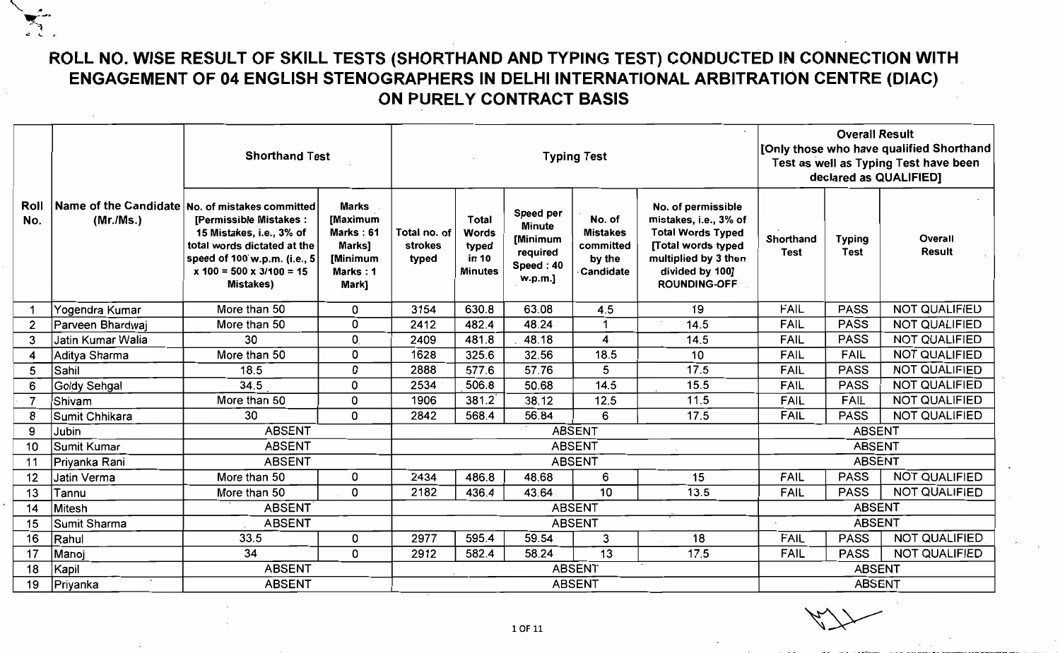## **ROLL NO. WISE RESULT OF SKILL TESTS (SHORTHAND AND TYPING TEST) CONDUCTED IN CONNECTION WITH ENGAGEMENT OF 04 ENGLISH STENOGRAPHERS IN** DELHI INTERNATIONAL **ARBITRATION CENTRE (DIAC) ON PURELY CONTRACT BASIS**

|                |                    | <b>Shorthand Test</b>                                                                                                                                                                                                   |                                                                                  |                                  |                                                                  |                                                                            | <b>Typing Test</b>                                            |                                                                                                                                                                 |                          | <b>Overall Result</b>        | [Only those who have qualified Shorthand<br>Test as well as Typing Test have been<br>declared as QUALIFIED] |
|----------------|--------------------|-------------------------------------------------------------------------------------------------------------------------------------------------------------------------------------------------------------------------|----------------------------------------------------------------------------------|----------------------------------|------------------------------------------------------------------|----------------------------------------------------------------------------|---------------------------------------------------------------|-----------------------------------------------------------------------------------------------------------------------------------------------------------------|--------------------------|------------------------------|-------------------------------------------------------------------------------------------------------------|
| Roll<br>No.    | (Mr./Ms.)          | Name of the Candidate No. of mistakes committed<br>[Permissible Mistakes:<br>15 Mistakes, i.e., 3% of<br>total words dictated at the<br>speed of 100 w.p.m. (i.e., 5<br>$x 100 = 500 x 3/100 = 15$<br><b>Mistakes</b> ) | <b>Marks</b><br>[Maximum<br>Marks: 61<br>Marks]<br>[Minimum<br>Marks: 1<br>Mark] | Total no. of<br>strokes<br>typed | <b>Total</b><br><b>Words</b><br>typed<br>in 10<br><b>Minutes</b> | Speed per<br><b>Minute</b><br>[Minimum<br>required<br>Speed: 40<br>w.p.m.] | No. of<br><b>Mistakes</b><br>committed<br>by the<br>Candidate | No. of permissible<br>mistakes, i.e., 3% of<br><b>Total Words Typed</b><br>[Total words typed<br>multiplied by 3 then<br>divided by 100]<br><b>ROUNDING-OFF</b> | Shorthand<br><b>Test</b> | <b>Typing</b><br><b>Test</b> | Overall<br><b>Result</b>                                                                                    |
|                | Yogendra Kumar     | More than 50                                                                                                                                                                                                            | 0                                                                                | 3154                             | 630.8                                                            | 63.08                                                                      | 4.5                                                           | 19                                                                                                                                                              | <b>FAIL</b>              | <b>PASS</b>                  | <b>NOT QUALIFIED</b>                                                                                        |
| $\overline{2}$ | Parveen Bhardwaj   | More than 50                                                                                                                                                                                                            | 0                                                                                | 2412                             | 482.4                                                            | 48.24                                                                      |                                                               | 14.5                                                                                                                                                            | <b>FAIL</b>              | <b>PASS</b>                  | <b>NOT QUALIFIED</b>                                                                                        |
| 3              | Jatin Kumar Walia  | 30                                                                                                                                                                                                                      | $\mathbf{0}$                                                                     | 2409                             | 481.8                                                            | 48.18                                                                      | 4                                                             | 14.5                                                                                                                                                            | <b>FAIL</b>              | <b>PASS</b>                  | <b>NOT QUALIFIED</b>                                                                                        |
| 4              | Aditya Sharma      | More than 50                                                                                                                                                                                                            | 0                                                                                | 1628                             | 325.6                                                            | 32.56                                                                      | 18.5                                                          | 10                                                                                                                                                              | <b>FAIL</b>              | <b>FAIL</b>                  | <b>NOT QUALIFIED</b>                                                                                        |
| 5              | Sahil              | 18.5                                                                                                                                                                                                                    | $\mathbf 0$                                                                      | 2888                             | 577.6                                                            | 57.76                                                                      | 5                                                             | 17.5                                                                                                                                                            | <b>FAIL</b>              | <b>PASS</b>                  | <b>NOT QUALIFIED</b>                                                                                        |
| 6              | Goldy Sehgal       | 34.5                                                                                                                                                                                                                    | $\mathbf 0$                                                                      | 2534                             | 506.8                                                            | 50.68                                                                      | 14.5                                                          | 15.5                                                                                                                                                            | <b>FAIL</b>              | <b>PASS</b>                  | <b>NOT QUALIFIED</b>                                                                                        |
| $\overline{7}$ | Shivam             | More than 50                                                                                                                                                                                                            | 0                                                                                | 1906                             | 381.2                                                            | 38.12                                                                      | 12.5                                                          | 11.5                                                                                                                                                            | <b>FAIL</b>              | <b>FAIL</b>                  | <b>NOT QUALIFIED</b>                                                                                        |
| 8              | Sumit Chhikara     | 30                                                                                                                                                                                                                      | $\mathbf 0$                                                                      | 2842                             | 568.4                                                            | 56.84                                                                      | 6                                                             | 17.5                                                                                                                                                            | <b>FAIL</b>              | <b>PASS</b>                  | <b>NOT QUALIFIED</b>                                                                                        |
| 9              | Jubin              | <b>ABSENT</b>                                                                                                                                                                                                           |                                                                                  |                                  |                                                                  |                                                                            | <b>ABSENT</b>                                                 |                                                                                                                                                                 |                          | <b>ABSENT</b>                |                                                                                                             |
| 10             | <b>Sumit Kumar</b> | <b>ABSENT</b>                                                                                                                                                                                                           |                                                                                  |                                  |                                                                  |                                                                            | <b>ABSENT</b>                                                 |                                                                                                                                                                 |                          | <b>ABSENT</b>                |                                                                                                             |
| 11             | Priyanka Rani      | <b>ABSENT</b>                                                                                                                                                                                                           |                                                                                  |                                  |                                                                  |                                                                            | <b>ABSENT</b>                                                 |                                                                                                                                                                 |                          | <b>ABSENT</b>                |                                                                                                             |
| 12             | Jatin Verma        | More than 50                                                                                                                                                                                                            | 0                                                                                | 2434                             | 486.8                                                            | 48.68                                                                      | 6                                                             | 15                                                                                                                                                              | FAIL                     | <b>PASS</b>                  | <b>NOT QUALIFIED</b>                                                                                        |
| 13             | Tannu              | More than 50                                                                                                                                                                                                            | $\Omega$                                                                         | 2182                             | 436.4                                                            | 43.64                                                                      | 10                                                            | 13.5                                                                                                                                                            | <b>FAIL</b>              | <b>PASS</b>                  | <b>NOT QUALIFIED</b>                                                                                        |
| 14             | Mitesh             | <b>ABSENT</b>                                                                                                                                                                                                           |                                                                                  |                                  |                                                                  |                                                                            | <b>ABSENT</b>                                                 |                                                                                                                                                                 |                          | <b>ABSENT</b>                |                                                                                                             |
| 15             | Sumit Sharma       | <b>ABSENT</b>                                                                                                                                                                                                           |                                                                                  |                                  |                                                                  |                                                                            | <b>ABSENT</b>                                                 |                                                                                                                                                                 |                          | <b>ABSENT</b>                |                                                                                                             |
| 16             | Rahul              | 33.5                                                                                                                                                                                                                    | 0                                                                                | 2977                             | 595.4                                                            | 59.54                                                                      | 3                                                             | 18                                                                                                                                                              | <b>FAIL</b>              | <b>PASS</b>                  | <b>NOT QUALIFIED</b>                                                                                        |
| 17             | Manoj              | 34                                                                                                                                                                                                                      | 0                                                                                | 2912                             | 582.4                                                            | 58.24                                                                      | 13                                                            | 17.5                                                                                                                                                            | <b>FAIL</b>              | <b>PASS</b>                  | <b>NOT QUALIFIED</b>                                                                                        |
| 18             | Kapil              | <b>ABSENT</b>                                                                                                                                                                                                           |                                                                                  | <b>ABSENT</b>                    |                                                                  |                                                                            |                                                               |                                                                                                                                                                 | <b>ABSENT</b>            |                              |                                                                                                             |
| 19             | Priyanka           | <b>ABSENT</b>                                                                                                                                                                                                           |                                                                                  |                                  |                                                                  |                                                                            | <b>ABSENT</b>                                                 |                                                                                                                                                                 | <b>ABSENT</b>            |                              |                                                                                                             |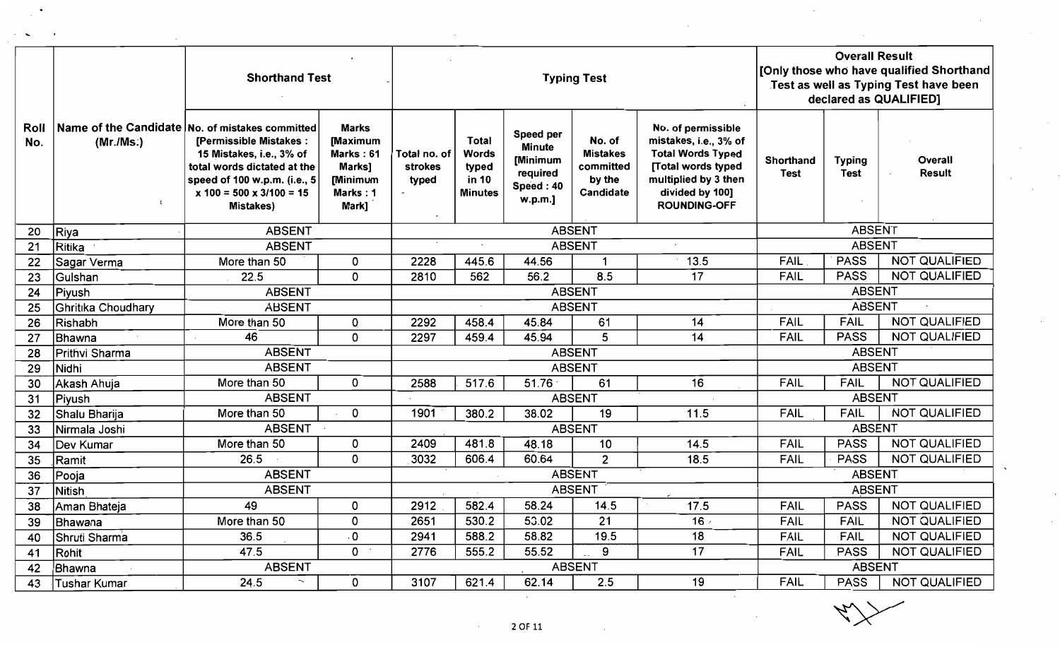|             |                         | <b>Shorthand Test</b>                                                                                                                                                                                                  |                                                                                  |                                  |                                                           | <b>Typing Test</b>                                                         |                                                               | <b>Overall Result</b><br>[Only those who have qualified Shorthand<br>Test as well as Typing Test have been<br>declared as QUALIFIED]                            |                          |                              |                          |
|-------------|-------------------------|------------------------------------------------------------------------------------------------------------------------------------------------------------------------------------------------------------------------|----------------------------------------------------------------------------------|----------------------------------|-----------------------------------------------------------|----------------------------------------------------------------------------|---------------------------------------------------------------|-----------------------------------------------------------------------------------------------------------------------------------------------------------------|--------------------------|------------------------------|--------------------------|
| Roll<br>No. | (Mr./Ms.)<br>$\epsilon$ | Name of the Candidate No. of mistakes committed<br>[Permissible Mistakes:<br>15 Mistakes, i.e., 3% of<br>total words dictated at the<br>speed of 100 w.p.m. (i.e., 5<br>$x 100 = 500 x 3/100 = 15$<br><b>Mistakes)</b> | <b>Marks</b><br>[Maximum<br>Marks: 61<br>Marks]<br>[Minimum<br>Marks: 1<br>Mark] | Total no. of<br>strokes<br>typed | <b>Total</b><br>Words<br>typed<br>in 10<br><b>Minutes</b> | Speed per<br><b>Minute</b><br>[Minimum<br>required<br>Speed: 40<br>w.p.m.] | No. of<br><b>Mistakes</b><br>committed<br>by the<br>Candidate | No. of permissible<br>mistakes, i.e., 3% of<br><b>Total Words Typed</b><br>[Total words typed<br>multiplied by 3 then<br>divided by 100]<br><b>ROUNDING-OFF</b> | Shorthand<br><b>Test</b> | <b>Typing</b><br><b>Test</b> | Overall<br><b>Result</b> |
| 20          | Riya                    | <b>ABSENT</b>                                                                                                                                                                                                          |                                                                                  |                                  |                                                           |                                                                            | <b>ABSENT</b>                                                 |                                                                                                                                                                 |                          | <b>ABSENT</b>                |                          |
| 21          | Ritika                  | <b>ABSENT</b>                                                                                                                                                                                                          |                                                                                  |                                  |                                                           |                                                                            | <b>ABSENT</b>                                                 |                                                                                                                                                                 |                          | <b>ABSENT</b>                |                          |
| 22          | Sagar Verma             | More than 50                                                                                                                                                                                                           | 0                                                                                | 2228                             | 445.6                                                     | 44.56                                                                      |                                                               | 13.5                                                                                                                                                            | <b>FAIL</b>              | <b>PASS</b>                  | <b>NOT QUALIFIED</b>     |
| 23          | Gulshan                 | 22.5                                                                                                                                                                                                                   | 0                                                                                | 2810                             | 562                                                       | 56.2                                                                       | 8.5                                                           | $\overline{17}$                                                                                                                                                 | <b>FAIL</b>              | <b>PASS</b>                  | <b>NOT QUALIFIED</b>     |
| 24          | Piyush                  | <b>ABSENT</b>                                                                                                                                                                                                          |                                                                                  |                                  |                                                           |                                                                            | <b>ABSENT</b>                                                 |                                                                                                                                                                 |                          | <b>ABSENT</b>                |                          |
| 25          | Ghritika Choudhary      | <b>ABSENT</b>                                                                                                                                                                                                          |                                                                                  |                                  |                                                           |                                                                            | <b>ABSENT</b>                                                 |                                                                                                                                                                 |                          | <b>ABSENT</b>                |                          |
| 26          | Rishabh                 | More than 50                                                                                                                                                                                                           | 0                                                                                | 2292                             | 458.4                                                     | 45.84                                                                      | 61                                                            | 14                                                                                                                                                              | <b>FAIL</b>              | <b>FAIL</b>                  | <b>NOT QUALIFIED</b>     |
| 27          | Bhawna                  | 46                                                                                                                                                                                                                     | 0                                                                                | 2297                             | 459.4                                                     | 45.94                                                                      | 5                                                             | 14                                                                                                                                                              | <b>FAIL</b>              | <b>PASS</b>                  | <b>NOT QUALIFIED</b>     |
| 28          | Prithvi Sharma          | <b>ABSENT</b>                                                                                                                                                                                                          |                                                                                  |                                  |                                                           |                                                                            | <b>ABSENT</b>                                                 |                                                                                                                                                                 |                          | <b>ABSENT</b>                |                          |
| 29          | Nidhi                   | <b>ABSENT</b>                                                                                                                                                                                                          |                                                                                  |                                  |                                                           |                                                                            | <b>ABSENT</b>                                                 |                                                                                                                                                                 |                          | <b>ABSENT</b>                |                          |
| 30          | Akash Ahuja             | More than 50                                                                                                                                                                                                           | 0                                                                                | 2588                             | 517.6                                                     | 51.76                                                                      | 61                                                            | 16                                                                                                                                                              | <b>FAIL</b>              | <b>FAIL</b>                  | <b>NOT QUALIFIED</b>     |
| 31          | Piyush                  | <b>ABSENT</b>                                                                                                                                                                                                          |                                                                                  |                                  |                                                           |                                                                            | <b>ABSENT</b>                                                 |                                                                                                                                                                 |                          | <b>ABSENT</b>                |                          |
| 32          | Shalu Bharija           | More than 50                                                                                                                                                                                                           | 0                                                                                | 1901                             | 380.2                                                     | 38.02                                                                      | 19                                                            | 11.5                                                                                                                                                            | <b>FAIL</b>              | <b>FAIL</b>                  | <b>NOT QUALIFIED</b>     |
| 33          | Nirmala Joshi           | <b>ABSENT</b>                                                                                                                                                                                                          |                                                                                  |                                  |                                                           |                                                                            | <b>ABSENT</b>                                                 |                                                                                                                                                                 |                          | <b>ABSENT</b>                |                          |
| 34          | Dev Kumar               | More than 50                                                                                                                                                                                                           | 0                                                                                | 2409                             | 481.8                                                     | 48.18                                                                      | 10                                                            | 14.5                                                                                                                                                            | <b>FAIL</b>              | <b>PASS</b>                  | <b>NOT QUALIFIED</b>     |
| 35          | Ramit                   | 26.5                                                                                                                                                                                                                   | 0                                                                                | 3032                             | 606.4                                                     | 60.64                                                                      | $\overline{2}$                                                | 18.5                                                                                                                                                            | <b>FAIL</b>              | <b>PASS</b>                  | <b>NOT QUALIFIED</b>     |
| 36          | Pooja                   | <b>ABSENT</b>                                                                                                                                                                                                          |                                                                                  |                                  |                                                           |                                                                            | <b>ABSENT</b>                                                 |                                                                                                                                                                 |                          | <b>ABSENT</b>                |                          |
| 37          | <b>Nitish</b>           | <b>ABSENT</b>                                                                                                                                                                                                          |                                                                                  |                                  |                                                           |                                                                            | <b>ABSENT</b>                                                 |                                                                                                                                                                 |                          | <b>ABSENT</b>                |                          |
| 38          | Aman Bhateja            | 49                                                                                                                                                                                                                     | 0                                                                                | 2912                             | 582.4                                                     | 58.24                                                                      | 14.5                                                          | 17.5                                                                                                                                                            | <b>FAIL</b>              | <b>PASS</b>                  | <b>NOT QUALIFIED</b>     |
| 39          | Bhawana                 | More than 50                                                                                                                                                                                                           | 0                                                                                | 2651                             | 530.2                                                     | 53.02                                                                      | 21                                                            | 16.4                                                                                                                                                            | <b>FAIL</b>              | <b>FAIL</b>                  | <b>NOT QUALIFIED</b>     |
| 40          | Shruti Sharma           | 36.5                                                                                                                                                                                                                   | $\cdot$ O                                                                        | 2941                             | 588.2                                                     | 58.82                                                                      | 19.5                                                          | 18                                                                                                                                                              | <b>FAIL</b>              | <b>FAIL</b>                  | <b>NOT QUALIFIED</b>     |
| 41          | Rohit                   | 47.5                                                                                                                                                                                                                   | 0                                                                                | 2776                             | 555.2                                                     | 55.52                                                                      | 9                                                             | 17                                                                                                                                                              | <b>FAIL</b>              | PASS                         | <b>NOT QUALIFIED</b>     |
| 42          | Bhawna                  | <b>ABSENT</b>                                                                                                                                                                                                          |                                                                                  |                                  |                                                           |                                                                            | <b>ABSENT</b>                                                 |                                                                                                                                                                 |                          | <b>ABSENT</b>                |                          |
| 43          | <b>Tushar Kumar</b>     | 24.5<br>$\overline{\phantom{0}}$                                                                                                                                                                                       | 0                                                                                | 3107                             | 621.4                                                     | 62.14                                                                      | 2.5                                                           | 19                                                                                                                                                              | <b>FAIL</b>              | <b>PASS</b>                  | <b>NOT QUALIFIED</b>     |
|             |                         |                                                                                                                                                                                                                        |                                                                                  |                                  |                                                           | 2 OF 11                                                                    | $\sim$                                                        | $\sim$                                                                                                                                                          |                          |                              |                          |

 $\ddot{\phantom{0}}$ 

 $\sim 10^{11}$ 

 $\sim$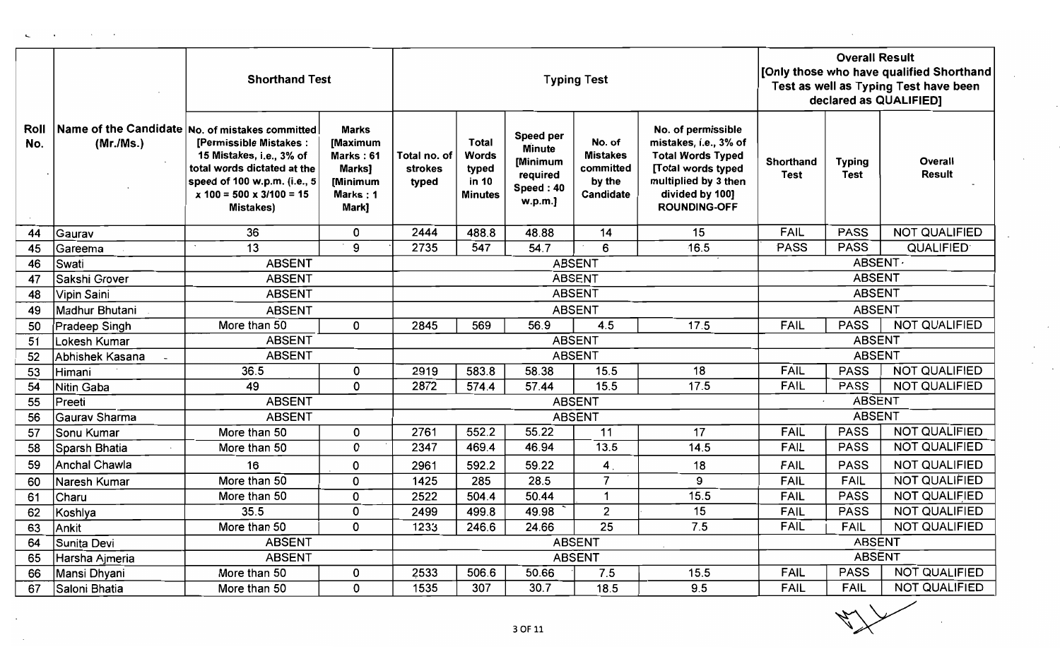|             |                      | <b>Shorthand Test</b>                                                                                                                                                                                                       |                                                                                  |                                  |                                                                  |                                                                                   | <b>Typing Test</b>                                            |                                                                                                                                                                 | <b>Overall Result</b><br>[Only those who have qualified Shorthand<br>Test as well as Typing Test have been<br>declared as QUALIFIED] |                              |                      |  |
|-------------|----------------------|-----------------------------------------------------------------------------------------------------------------------------------------------------------------------------------------------------------------------------|----------------------------------------------------------------------------------|----------------------------------|------------------------------------------------------------------|-----------------------------------------------------------------------------------|---------------------------------------------------------------|-----------------------------------------------------------------------------------------------------------------------------------------------------------------|--------------------------------------------------------------------------------------------------------------------------------------|------------------------------|----------------------|--|
| Roll<br>No. | (Mr./Ms.)            | Name of the Candidate No. of mistakes committed<br>[Permissible Mistakes:<br>15 Mistakes, i.e., 3% of<br>total words dictated at the<br>speed of 100 w.p.m. (i.e., 5<br>$x 100 = 500 \times 3/100 = 15$<br><b>Mistakes)</b> | <b>Marks</b><br>[Maximum<br>Marks: 61<br>Marks]<br>[Minimum<br>Marks: 1<br>Mark} | Total no. of<br>strokes<br>typed | <b>Total</b><br><b>Words</b><br>typed<br>in 10<br><b>Minutes</b> | <b>Speed per</b><br><b>Minute</b><br>[Minimum<br>required<br>Speed: 40<br>w.p.m.] | No. of<br><b>Mistakes</b><br>committed<br>by the<br>Candidate | No. of permissible<br>mistakes, i.e., 3% of<br><b>Total Words Typed</b><br>[Total words typed<br>multiplied by 3 then<br>divided by 100]<br><b>ROUNDING-OFF</b> | Shorthand<br><b>Test</b>                                                                                                             | <b>Typing</b><br><b>Test</b> | Overall<br>Result    |  |
| 44          | Gaurav               | 36                                                                                                                                                                                                                          | 0                                                                                | 2444                             | 488.8                                                            | 48.88                                                                             | 14                                                            | 15                                                                                                                                                              | <b>FAIL</b>                                                                                                                          | <b>PASS</b>                  | <b>NOT QUALIFIED</b> |  |
| 45          | Gareema              | 13                                                                                                                                                                                                                          | 9                                                                                | 2735                             | 547                                                              | 54.7                                                                              | 6                                                             | 16.5                                                                                                                                                            | <b>PASS</b>                                                                                                                          | <b>PASS</b>                  | <b>QUALIFIED</b>     |  |
| 46          | Swati                | <b>ABSENT</b>                                                                                                                                                                                                               |                                                                                  |                                  |                                                                  |                                                                                   | <b>ABSENT</b>                                                 |                                                                                                                                                                 |                                                                                                                                      | ABSENT.                      |                      |  |
| 47          | Sakshi Grover        | <b>ABSENT</b>                                                                                                                                                                                                               |                                                                                  |                                  |                                                                  |                                                                                   | <b>ABSENT</b>                                                 |                                                                                                                                                                 |                                                                                                                                      | <b>ABSENT</b>                |                      |  |
| 48          | Vipin Saini          | <b>ABSENT</b>                                                                                                                                                                                                               |                                                                                  |                                  |                                                                  |                                                                                   | <b>ABSENT</b>                                                 |                                                                                                                                                                 |                                                                                                                                      | <b>ABSENT</b>                |                      |  |
| 49          | Madhur Bhutani       | <b>ABSENT</b>                                                                                                                                                                                                               |                                                                                  |                                  |                                                                  |                                                                                   | <b>ABSENT</b>                                                 |                                                                                                                                                                 |                                                                                                                                      | <b>ABSENT</b>                |                      |  |
| 50          | Pradeep Singh        | More than 50                                                                                                                                                                                                                | 0                                                                                | 2845                             | 569                                                              | 56.9                                                                              | 4.5                                                           | 17.5                                                                                                                                                            | <b>FAIL</b>                                                                                                                          | <b>PASS</b>                  | <b>NOT QUALIFIED</b> |  |
| 51          | Lokesh Kumar         | <b>ABSENT</b>                                                                                                                                                                                                               |                                                                                  |                                  |                                                                  |                                                                                   | <b>ABSENT</b>                                                 |                                                                                                                                                                 |                                                                                                                                      | <b>ABSENT</b>                |                      |  |
| 52          | Abhishek Kasana      | <b>ABSENT</b>                                                                                                                                                                                                               |                                                                                  |                                  |                                                                  |                                                                                   | <b>ABSENT</b>                                                 |                                                                                                                                                                 |                                                                                                                                      | <b>ABSENT</b>                |                      |  |
| 53          | Himani               | 36.5                                                                                                                                                                                                                        | 0                                                                                | 2919                             | 583.8                                                            | 58.38                                                                             | 15.5                                                          | 18                                                                                                                                                              | <b>FAIL</b>                                                                                                                          | <b>PASS</b>                  | <b>NOT QUALIFIED</b> |  |
| 54          | <b>Nitin Gaba</b>    | 49                                                                                                                                                                                                                          | 0                                                                                | 2872                             | 574.4                                                            | 57.44                                                                             | 15.5                                                          | 17.5                                                                                                                                                            | <b>FAIL</b>                                                                                                                          | <b>PASS</b>                  | <b>NOT QUALIFIED</b> |  |
| 55          | Preeti               | <b>ABSENT</b>                                                                                                                                                                                                               |                                                                                  |                                  |                                                                  |                                                                                   | <b>ABSENT</b>                                                 |                                                                                                                                                                 |                                                                                                                                      | <b>ABSENT</b>                |                      |  |
| 56          | Gaurav Sharma        | <b>ABSENT</b>                                                                                                                                                                                                               |                                                                                  |                                  |                                                                  |                                                                                   | <b>ABSENT</b>                                                 |                                                                                                                                                                 |                                                                                                                                      | <b>ABSENT</b>                |                      |  |
| 57          | Sonu Kumar           | More than 50                                                                                                                                                                                                                | 0                                                                                | 2761                             | 552.2                                                            | 55.22                                                                             | 11                                                            | 17                                                                                                                                                              | <b>FAIL</b>                                                                                                                          | <b>PASS</b>                  | <b>NOT QUALIFIED</b> |  |
| 58          | Sparsh Bhatia        | More than 50                                                                                                                                                                                                                | 0                                                                                | 2347                             | 469.4                                                            | 46.94                                                                             | 13.5                                                          | 14.5                                                                                                                                                            | <b>FAIL</b>                                                                                                                          | <b>PASS</b>                  | <b>NOT QUALIFIED</b> |  |
| 59          | <b>Anchal Chawla</b> | 16                                                                                                                                                                                                                          | 0                                                                                | 2961                             | 592.2                                                            | 59.22                                                                             | 4 <sub>1</sub>                                                | 18                                                                                                                                                              | <b>FAIL</b>                                                                                                                          | <b>PASS</b>                  | NOT QUALIFIED        |  |
| 60          | Naresh Kumar         | More than 50                                                                                                                                                                                                                | 0                                                                                | 1425                             | 285                                                              | 28.5                                                                              | $\overline{7}$                                                | 9                                                                                                                                                               | <b>FAIL</b>                                                                                                                          | <b>FAIL</b>                  | <b>NOT QUALIFIED</b> |  |
| 61          | Charu                | More than 50                                                                                                                                                                                                                | 0                                                                                | 2522                             | 504.4                                                            | 50.44                                                                             | $\mathbf 1$                                                   | 15.5                                                                                                                                                            | <b>FAIL</b>                                                                                                                          | <b>PASS</b>                  | <b>NOT QUALIFIED</b> |  |
| 62          | Koshlya              | 35.5                                                                                                                                                                                                                        | 0                                                                                | 2499                             | 499.8                                                            | 49.98                                                                             | $\overline{2}$                                                | 15                                                                                                                                                              | <b>FAIL</b>                                                                                                                          | <b>PASS</b>                  | <b>NOT QUALIFIED</b> |  |
| 63          | Ankit                | More than 50                                                                                                                                                                                                                | 0                                                                                | 1233                             | 246.6                                                            | 24.66                                                                             | 25                                                            | 7.5                                                                                                                                                             | <b>FAIL</b>                                                                                                                          |                              | FAIL   NOT QUALIFIED |  |
| 64          | Sunita Devi          | <b>ABSENT</b>                                                                                                                                                                                                               |                                                                                  |                                  |                                                                  |                                                                                   | <b>ABSENT</b>                                                 |                                                                                                                                                                 |                                                                                                                                      | <b>ABSENT</b>                |                      |  |
| 65          | Harsha Ajmeria       | <b>ABSENT</b>                                                                                                                                                                                                               |                                                                                  |                                  |                                                                  |                                                                                   | <b>ABSENT</b>                                                 |                                                                                                                                                                 |                                                                                                                                      | <b>ABSENT</b>                |                      |  |
| 66          | Mansi Dhyani         | More than 50                                                                                                                                                                                                                | 0                                                                                | 2533                             | 506.6                                                            | 50.66                                                                             | 7.5                                                           | 15.5                                                                                                                                                            | <b>FAIL</b>                                                                                                                          | <b>PASS</b>                  | <b>NOT QUALIFIED</b> |  |
| 67          | Saloni Bhatia        | More than 50                                                                                                                                                                                                                | 0                                                                                | 1535                             | 307                                                              | 30.7                                                                              | 18.5                                                          | 9.5                                                                                                                                                             | <b>FAIL</b>                                                                                                                          | <b>FAIL</b>                  | NOT QUALIFIED        |  |
|             |                      |                                                                                                                                                                                                                             |                                                                                  |                                  |                                                                  |                                                                                   |                                                               |                                                                                                                                                                 |                                                                                                                                      | $\sim$ $\sqrt{2}$            |                      |  |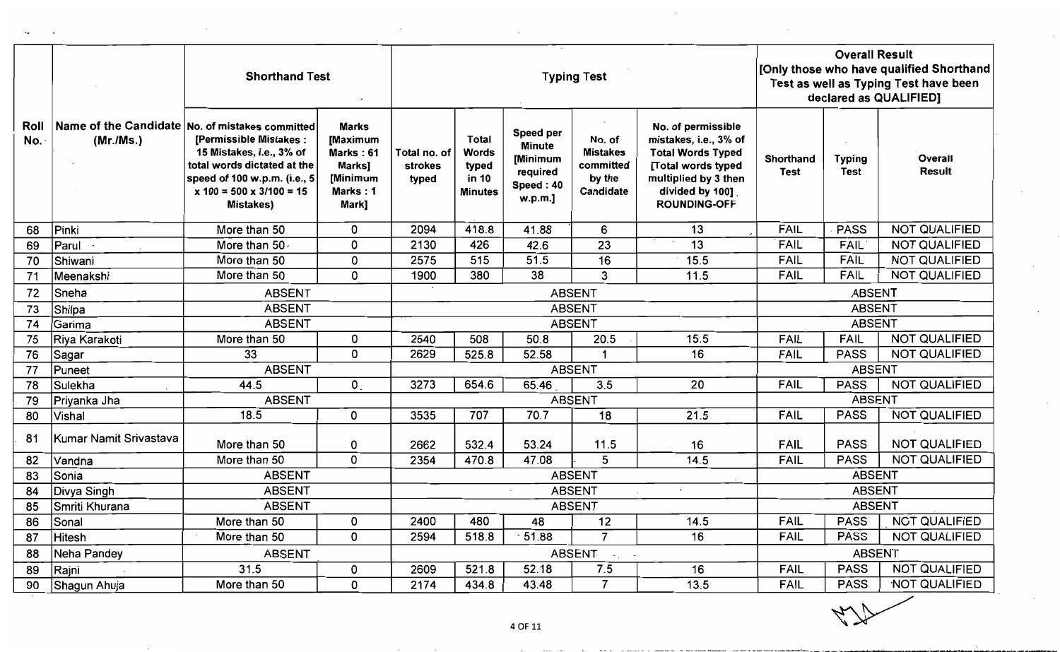|             |                        | <b>Shorthand Test</b>                                                                                                                                                                                           |                                                                                  |                                  |                                                           |                                                                            | <b>Typing Test</b>                                            |                                                                                                                                                                  | <b>Overall Result</b><br>[Only those who have qualified Shorthand<br>Test as well as Typing Test have been<br>declared as QUALIFIED] |                              |                          |
|-------------|------------------------|-----------------------------------------------------------------------------------------------------------------------------------------------------------------------------------------------------------------|----------------------------------------------------------------------------------|----------------------------------|-----------------------------------------------------------|----------------------------------------------------------------------------|---------------------------------------------------------------|------------------------------------------------------------------------------------------------------------------------------------------------------------------|--------------------------------------------------------------------------------------------------------------------------------------|------------------------------|--------------------------|
| Roll<br>No. | (Mr./Ms.)              | Name of the Candidate No. of mistakes committed<br>[Permissible Mistakes:<br>15 Mistakes, i.e., 3% of<br>total words dictated at the<br>speed of 100 w.p.m. (i.e., 5<br>$x 100 = 500 x 3/100 = 15$<br>Mistakes) | <b>Marks</b><br>[Maximum<br>Marks: 61<br>Marks]<br>[Minimum<br>Marks: 1<br>Mark] | Total no. of<br>strokes<br>typed | <b>Total</b><br>Words<br>typed<br>in 10<br><b>Minutes</b> | Speed per<br><b>Minute</b><br>[Minimum<br>required<br>Speed: 40<br>w.p.m.] | No. of<br><b>Mistakes</b><br>committed<br>by the<br>Candidate | No. of permissible<br>mistakes, i.e., 3% of<br><b>Total Words Typed</b><br>[Total words typed<br>multiplied by 3 then<br>divided by 100].<br><b>ROUNDING-OFF</b> | Shorthand<br><b>Test</b>                                                                                                             | <b>Typing</b><br><b>Test</b> | Overall<br><b>Result</b> |
| 68          | Pinki                  | More than 50                                                                                                                                                                                                    | 0                                                                                | 2094                             | 418.8                                                     | 41.88                                                                      | 6                                                             | 13                                                                                                                                                               | <b>FAIL</b>                                                                                                                          | <b>PASS</b>                  | <b>NOT QUALIFIED</b>     |
| 69          | Parul                  | More than 50.                                                                                                                                                                                                   | 0                                                                                | 2130                             | 426                                                       | 42.6                                                                       | $\overline{23}$                                               | $\overline{13}$                                                                                                                                                  | <b>FAIL</b>                                                                                                                          | <b>FAIL</b>                  | <b>NOT QUALIFIED</b>     |
| 70          | Shiwani                | More than 50                                                                                                                                                                                                    | 0                                                                                | 2575                             | 515                                                       | 51.5                                                                       | 16                                                            | 15.5                                                                                                                                                             | <b>FAIL</b>                                                                                                                          | <b>FAIL</b>                  | <b>NOT QUALIFIED</b>     |
| 71          | Meenakshi              | More than 50                                                                                                                                                                                                    | 0                                                                                | 1900                             | 380                                                       | 38                                                                         | $\overline{3}$                                                | 11.5                                                                                                                                                             | <b>FAIL</b>                                                                                                                          | FAIL                         | <b>NOT QUALIFIED</b>     |
| 72          | Sneha                  | <b>ABSENT</b>                                                                                                                                                                                                   |                                                                                  |                                  |                                                           |                                                                            | <b>ABSENT</b>                                                 |                                                                                                                                                                  |                                                                                                                                      | <b>ABSENT</b>                |                          |
| 73          | Shilpa                 | <b>ABSENT</b>                                                                                                                                                                                                   |                                                                                  |                                  |                                                           |                                                                            | <b>ABSENT</b>                                                 |                                                                                                                                                                  |                                                                                                                                      | <b>ABSENT</b>                |                          |
| 74          | Garima                 | <b>ABSENT</b>                                                                                                                                                                                                   |                                                                                  |                                  |                                                           |                                                                            | <b>ABSENT</b>                                                 |                                                                                                                                                                  |                                                                                                                                      | <b>ABSENT</b>                |                          |
| 75          | Riya Karakoti          | More than 50                                                                                                                                                                                                    | 0                                                                                | 2540                             | 508                                                       | 50.8                                                                       | 20.5                                                          | 15.5                                                                                                                                                             | <b>FAIL</b>                                                                                                                          | <b>FAIL</b>                  | <b>NOT QUALIFIED</b>     |
| 76          | Sagar                  | 33                                                                                                                                                                                                              | 0                                                                                | 2629                             | 525.8                                                     | 52.58                                                                      | 1                                                             | $\overline{16}$                                                                                                                                                  | FAIL                                                                                                                                 | <b>PASS</b>                  | <b>NOT QUALIFIED</b>     |
| 77          | Puneet                 | <b>ABSENT</b>                                                                                                                                                                                                   |                                                                                  |                                  |                                                           |                                                                            | <b>ABSENT</b>                                                 |                                                                                                                                                                  |                                                                                                                                      | <b>ABSENT</b>                |                          |
| 78          | Sulekha                | 44.5                                                                                                                                                                                                            | $\mathbf{0}$                                                                     | 3273                             | 654.6                                                     | 65.46                                                                      | 3.5                                                           | 20                                                                                                                                                               | <b>FAIL</b>                                                                                                                          | <b>PASS</b>                  | NOT QUALIFIED            |
| 79          | Priyanka Jha           | <b>ABSENT</b>                                                                                                                                                                                                   |                                                                                  |                                  |                                                           |                                                                            | <b>ABSENT</b>                                                 |                                                                                                                                                                  |                                                                                                                                      | <b>ABSENT</b>                |                          |
| 80          | Vishal                 | 18.5                                                                                                                                                                                                            | 0                                                                                | 3535                             | 707                                                       | 70.7                                                                       | $\overline{18}$                                               | $\overline{21.5}$                                                                                                                                                | <b>FAIL</b>                                                                                                                          | <b>PASS</b>                  | <b>NOT QUALIFIED</b>     |
| 81          | Kumar Namit Srivastava | More than 50                                                                                                                                                                                                    | 0                                                                                | 2662                             | 532.4                                                     | 53.24                                                                      | 11.5                                                          | 16                                                                                                                                                               | <b>FAIL</b>                                                                                                                          | <b>PASS</b>                  | <b>NOT QUALIFIED</b>     |
| 82          | Vandna                 | More than 50                                                                                                                                                                                                    | 0                                                                                | 2354                             | 470.8                                                     | 47.08                                                                      | 5                                                             | 14.5                                                                                                                                                             | <b>FAIL</b>                                                                                                                          | <b>PASS</b>                  | <b>NOT QUALIFIED</b>     |
| 83          | Sonia                  | <b>ABSENT</b>                                                                                                                                                                                                   |                                                                                  |                                  |                                                           |                                                                            | <b>ABSENT</b>                                                 |                                                                                                                                                                  |                                                                                                                                      | <b>ABSENT</b>                |                          |
| 84          | Divya Singh            | <b>ABSENT</b>                                                                                                                                                                                                   |                                                                                  |                                  |                                                           |                                                                            | <b>ABSENT</b>                                                 |                                                                                                                                                                  |                                                                                                                                      | <b>ABSENT</b>                |                          |
| 85          | Smriti Khurana         | <b>ABSENT</b>                                                                                                                                                                                                   |                                                                                  |                                  |                                                           |                                                                            | <b>ABSENT</b>                                                 |                                                                                                                                                                  |                                                                                                                                      | <b>ABSENT</b>                |                          |
| 86          | Sonal                  | More than 50                                                                                                                                                                                                    | 0                                                                                | 2400                             | 480                                                       | 48                                                                         | 12                                                            | 14.5                                                                                                                                                             | <b>FAIL</b>                                                                                                                          | <b>PASS</b>                  | <b>NOT QUALIFIED</b>     |
| 87          | <b>Hitesh</b>          | More than 50                                                                                                                                                                                                    | 0                                                                                | 2594                             | 518.8                                                     | 51.88                                                                      | $\overline{7}$                                                | $\overline{16}$                                                                                                                                                  | <b>FAIL</b>                                                                                                                          | <b>PASS</b>                  | <b>NOT QUALIFIED</b>     |
| 88          | Neha Pandey            | <b>ABSENT</b>                                                                                                                                                                                                   |                                                                                  |                                  |                                                           |                                                                            | <b>ABSENT</b><br>$\sim 10^{-11}$                              |                                                                                                                                                                  |                                                                                                                                      | <b>ABSENT</b>                |                          |
| 89          | Rajni                  | 31.5                                                                                                                                                                                                            | 0                                                                                | 2609                             | 521.8                                                     | 52.18                                                                      | 7.5                                                           | 16                                                                                                                                                               | <b>FAIL</b>                                                                                                                          | <b>PASS</b>                  | <b>NOT QUALIFIED</b>     |
| 90          | Shagun Ahuja           | More than 50                                                                                                                                                                                                    | 0                                                                                | 2174                             | 434.8                                                     | 43.48                                                                      | $\overline{7}$                                                | 13.5                                                                                                                                                             | <b>FAIL</b>                                                                                                                          | <b>PASS</b>                  | NOT QUALIFIED            |

Li.

 $~\cdot$   $~\cdot$   $~\cdot$   $~\cdot$   $~\cdot$   $~\cdot$   $~\cdot$   $~\cdot$   $~\cdot$   $~\cdot$   $~\cdot$   $~\cdot$   $~\cdot$   $~\cdot$   $~\cdot$   $~\cdot$   $~\cdot$   $~\cdot$   $~\cdot$   $~\cdot$   $~\cdot$   $~\cdot$   $~\cdot$   $~\cdot$   $~\cdot$   $~\cdot$   $~\cdot$   $~\cdot$   $~\cdot$   $~\cdot$   $~\cdot$   $~\cdot$   $~\cdot$   $~\cdot$   $~\cdot$   $~\cdot$   $~\cdot$ 

- ~---' - ---- -..... ~."''''''- ......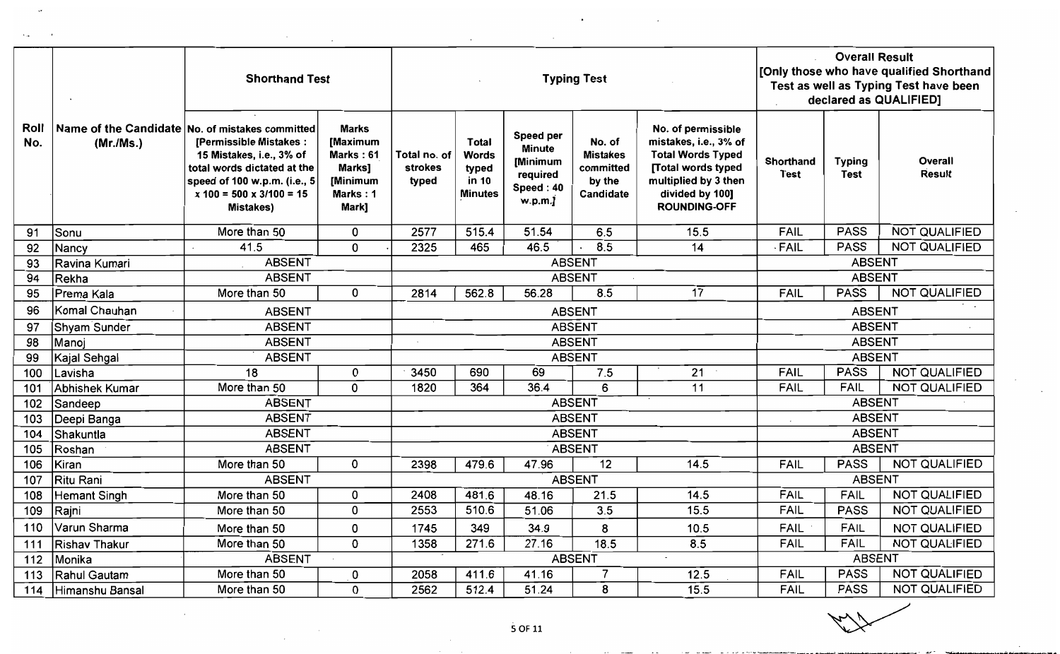|             |                  | <b>Shorthand Test</b>                                                                                                                                                                                                       |                                                                                  |                                  |                                                                  |                                                                           | <b>Typing Test</b>                                            |                                                                                                                                                                       | <b>Overall Result</b><br>[Only those who have qualified Shorthand<br>Test as well as Typing Test have been<br>declared as QUALIFIED] |                              |                      |  |
|-------------|------------------|-----------------------------------------------------------------------------------------------------------------------------------------------------------------------------------------------------------------------------|----------------------------------------------------------------------------------|----------------------------------|------------------------------------------------------------------|---------------------------------------------------------------------------|---------------------------------------------------------------|-----------------------------------------------------------------------------------------------------------------------------------------------------------------------|--------------------------------------------------------------------------------------------------------------------------------------|------------------------------|----------------------|--|
| Roll<br>No. | (Mr./Ms.)        | Name of the Candidate No. of mistakes committed<br>[Permissible Mistakes:<br>15 Mistakes, i.e., 3% of<br>total words dictated at the<br>speed of 100 w.p.m. (i.e., 5<br>$x 100 = 500 \times 3/100 = 15$<br><b>Mistakes)</b> | <b>Marks</b><br>[Maximum<br>Marks: 61<br>Marks]<br>[Minimum<br>Marks: 1<br>Mark] | Total no. of<br>strokes<br>typed | <b>Total</b><br><b>Words</b><br>typed<br>in 10<br><b>Minutes</b> | Speed per<br><b>Minute</b><br>[Minimum<br>required<br>Speed: 40<br>w.p.m. | No. of<br><b>Mistakes</b><br>committed<br>by the<br>Candidate | No. of permissible<br>mistakes, i.e., 3% of<br><b>Total Words Typed</b><br><b>Total words typed</b><br>multiplied by 3 then<br>divided by 100]<br><b>ROUNDING-OFF</b> | <b>Shorthand</b><br><b>Test</b>                                                                                                      | <b>Typing</b><br><b>Test</b> | Overall<br>Result    |  |
| 91          | Sonu             | More than 50                                                                                                                                                                                                                | 0                                                                                | 2577                             | 515.4                                                            | 51.54                                                                     | 6.5                                                           | 15.5                                                                                                                                                                  | FAIL                                                                                                                                 | <b>PASS</b>                  | <b>NOT QUALIFIED</b> |  |
| 92          | Nancy            | 41.5                                                                                                                                                                                                                        | 0                                                                                | 2325                             | 465                                                              | 46.5                                                                      | 8.5<br>$\cdot$                                                | 14                                                                                                                                                                    | FAIL                                                                                                                                 | <b>PASS</b>                  | <b>NOT QUALIFIED</b> |  |
| 93          | Ravina Kumari    | <b>ABSENT</b>                                                                                                                                                                                                               |                                                                                  |                                  |                                                                  |                                                                           | <b>ABSENT</b>                                                 |                                                                                                                                                                       |                                                                                                                                      | <b>ABSENT</b>                |                      |  |
| 94          | Rekha            | <b>ABSENT</b>                                                                                                                                                                                                               |                                                                                  |                                  |                                                                  |                                                                           | <b>ABSENT</b>                                                 |                                                                                                                                                                       |                                                                                                                                      | <b>ABSENT</b>                |                      |  |
| 95          | Prema Kala       | More than 50                                                                                                                                                                                                                | 0                                                                                | 2814                             | 562.8                                                            | 56.28                                                                     | 8.5                                                           | $\overline{17}$                                                                                                                                                       | <b>FAIL</b>                                                                                                                          | <b>PASS</b>                  | <b>NOT QUALIFIED</b> |  |
| 96          | Komal Chauhan    | <b>ABSENT</b>                                                                                                                                                                                                               |                                                                                  |                                  |                                                                  |                                                                           | <b>ABSENT</b>                                                 |                                                                                                                                                                       |                                                                                                                                      | <b>ABSENT</b>                |                      |  |
| 97          | Shyam Sunder     | <b>ABSENT</b>                                                                                                                                                                                                               |                                                                                  |                                  |                                                                  |                                                                           | <b>ABSENT</b>                                                 |                                                                                                                                                                       |                                                                                                                                      | <b>ABSENT</b>                |                      |  |
| 98          | Manoj            | <b>ABSENT</b>                                                                                                                                                                                                               |                                                                                  |                                  |                                                                  |                                                                           | <b>ABSENT</b>                                                 |                                                                                                                                                                       |                                                                                                                                      | <b>ABSENT</b>                |                      |  |
| 99          | Kajal Sehgal     | <b>ABSENT</b>                                                                                                                                                                                                               |                                                                                  |                                  |                                                                  |                                                                           | <b>ABSENT</b>                                                 |                                                                                                                                                                       |                                                                                                                                      | <b>ABSENT</b>                |                      |  |
| 100         | Lavisha          | 18                                                                                                                                                                                                                          | 0                                                                                | 3450                             | 690                                                              | 69                                                                        | 7.5                                                           | 21                                                                                                                                                                    | <b>FAIL</b>                                                                                                                          | <b>PASS</b>                  | <b>NOT QUALIFIED</b> |  |
| 101         | Abhishek Kumar   | More than 50                                                                                                                                                                                                                | 0                                                                                | 1820                             | 364                                                              | 36.4                                                                      | 6                                                             | 11                                                                                                                                                                    | <b>FAIL</b>                                                                                                                          | <b>FAIL</b>                  | NOT QUALIFIED        |  |
| 102         | Sandeep          | <b>ABSENT</b>                                                                                                                                                                                                               |                                                                                  |                                  |                                                                  |                                                                           | <b>ABSENT</b>                                                 |                                                                                                                                                                       |                                                                                                                                      | <b>ABSENT</b>                |                      |  |
| 103         | Deepi Banga      | <b>ABSENT</b>                                                                                                                                                                                                               |                                                                                  |                                  |                                                                  |                                                                           | <b>ABSENT</b>                                                 |                                                                                                                                                                       |                                                                                                                                      | <b>ABSENT</b>                |                      |  |
| 104         | <b>Shakuntla</b> | <b>ABSENT</b>                                                                                                                                                                                                               |                                                                                  |                                  |                                                                  |                                                                           | <b>ABSENT</b>                                                 |                                                                                                                                                                       |                                                                                                                                      | <b>ABSENT</b>                |                      |  |
| 105         | Roshan           | <b>ABSENT</b>                                                                                                                                                                                                               |                                                                                  |                                  |                                                                  |                                                                           | <b>ABSENT</b>                                                 |                                                                                                                                                                       |                                                                                                                                      | <b>ABSENT</b>                |                      |  |
| 106         | Kiran            | More than 50                                                                                                                                                                                                                | 0                                                                                | 2398                             | 479.6                                                            | 47.96                                                                     | 12                                                            | 14.5                                                                                                                                                                  | <b>FAIL</b>                                                                                                                          | <b>PASS</b>                  | <b>NOT QUALIFIED</b> |  |
| 107         | Ritu Rani        | <b>ABSENT</b>                                                                                                                                                                                                               |                                                                                  |                                  |                                                                  |                                                                           | ABSENT                                                        |                                                                                                                                                                       |                                                                                                                                      | <b>ABSENT</b>                |                      |  |
| 108         | Hemant Singh     | More than 50                                                                                                                                                                                                                | 0                                                                                | 2408                             | 481.6                                                            | 48.16                                                                     | 21.5                                                          | 14.5                                                                                                                                                                  | <b>FAIL</b>                                                                                                                          | <b>FAIL</b>                  | <b>NOT QUALIFIED</b> |  |
| 109         | Rajni            | More than 50                                                                                                                                                                                                                | 0                                                                                | 2553                             | 510.6                                                            | 51.06                                                                     | 3.5                                                           | 15.5                                                                                                                                                                  | <b>FAIL</b>                                                                                                                          | <b>PASS</b>                  | <b>NOT QUALIFIED</b> |  |
| 110         | Varun Sharma     | More than 50                                                                                                                                                                                                                | 0                                                                                | 1745                             | 349                                                              | 34.9                                                                      | 8                                                             | 10.5                                                                                                                                                                  | <b>FAIL</b>                                                                                                                          | <b>FAIL</b>                  | <b>NOT QUALIFIED</b> |  |
| 111         | Rishav Thakur    | More than 50                                                                                                                                                                                                                | 0                                                                                | 1358                             | 271.6                                                            | 27.16                                                                     | 18.5                                                          | 8.5                                                                                                                                                                   | <b>FAIL</b>                                                                                                                          | FAIL                         | <b>NOT QUALIFIED</b> |  |
| 112         | Monika           | <b>ABSENT</b>                                                                                                                                                                                                               |                                                                                  |                                  |                                                                  |                                                                           | <b>ABSENT</b>                                                 | $\sim$                                                                                                                                                                |                                                                                                                                      | <b>ABSENT</b>                |                      |  |
| 113         | Rahul Gautam     | More than 50                                                                                                                                                                                                                | 0                                                                                | 2058                             | 411.6                                                            | 41.16                                                                     | $\overline{7}$                                                | 12.5                                                                                                                                                                  | <b>FAIL</b>                                                                                                                          | <b>PASS</b>                  | NOT QUALIFIED        |  |
| 114         | Himanshu Bansal  | More than 50                                                                                                                                                                                                                | 0                                                                                | 2562                             | 512.4                                                            | 51.24                                                                     | 8                                                             | 15.5                                                                                                                                                                  | FAIL                                                                                                                                 | <b>PASS</b>                  | <b>NOT QUALIFIED</b> |  |

 $\bullet$ 

**Contractor** 

 $\sim$   $\sim$ 

 $\sim 10^7$ 

 $\sim$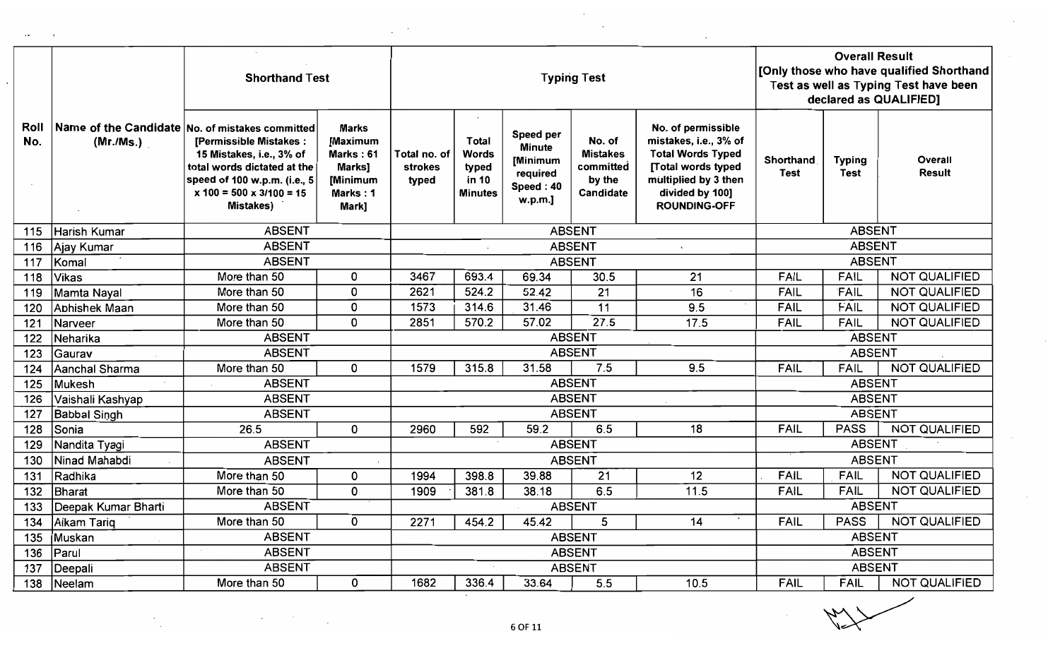|             |                     | <b>Shorthand Test</b>                                                                                                                                                                                           |                                                                                         |                                         |                                                           | <b>Typing Test</b>                                                         |                                                                      | <b>Overall Result</b><br>[Only those who have qualified Shorthand<br>Test as well as Typing Test have been<br>declared as QUALIFIED]                            |                   |                              |                          |
|-------------|---------------------|-----------------------------------------------------------------------------------------------------------------------------------------------------------------------------------------------------------------|-----------------------------------------------------------------------------------------|-----------------------------------------|-----------------------------------------------------------|----------------------------------------------------------------------------|----------------------------------------------------------------------|-----------------------------------------------------------------------------------------------------------------------------------------------------------------|-------------------|------------------------------|--------------------------|
| Roll<br>No. | (Mr/Ms.)            | Name of the Candidate No. of mistakes committed<br>[Permissible Mistakes:<br>15 Mistakes, i.e., 3% of<br>total words dictated at the<br>speed of 100 w.p.m. (i.e., 5<br>$x 100 = 500 x 3/100 = 15$<br>Mistakes) | <b>Marks</b><br>[Maximum<br>Marks: 61<br><b>Marks1</b><br>[Minimum<br>Marks: 1<br>Mark] | Total no. of<br><b>strokes</b><br>typed | <b>Total</b><br>Words<br>typed<br>in 10<br><b>Minutes</b> | Speed per<br><b>Minute</b><br>[Minimum<br>required<br>Speed: 40<br>w.p.m.] | No. of<br><b>Mistakes</b><br>committed<br>by the<br><b>Candidate</b> | No. of permissible<br>mistakes, i.e., 3% of<br><b>Total Words Typed</b><br>[Total words typed<br>multiplied by 3 then<br>divided by 100]<br><b>ROUNDING-OFF</b> | Shorthand<br>Test | <b>Typing</b><br><b>Test</b> | Overall<br><b>Result</b> |
| 115         | Harish Kumar        | <b>ABSENT</b>                                                                                                                                                                                                   |                                                                                         |                                         |                                                           |                                                                            | <b>ABSENT</b>                                                        |                                                                                                                                                                 |                   | <b>ABSENT</b>                |                          |
| 116         | Ajay Kumar          | <b>ABSENT</b>                                                                                                                                                                                                   |                                                                                         |                                         |                                                           |                                                                            | <b>ABSENT</b>                                                        | $\ddot{\phantom{a}}$                                                                                                                                            |                   | <b>ABSENT</b>                |                          |
| 117         | Komal               | <b>ABSENT</b>                                                                                                                                                                                                   |                                                                                         |                                         |                                                           |                                                                            | <b>ABSENT</b>                                                        |                                                                                                                                                                 |                   | <b>ABSENT</b>                |                          |
| 118         | Vikas               | More than 50                                                                                                                                                                                                    | 0                                                                                       | 3467                                    | 693.4                                                     | 69.34                                                                      | 30.5                                                                 | 21                                                                                                                                                              | FAIL              | <b>FAIL</b>                  | <b>NOT QUALIFIED</b>     |
| 119         | Mamta Nayal         | More than 50                                                                                                                                                                                                    | 0                                                                                       | 2621                                    | 524.2                                                     | 52.42                                                                      | $\overline{21}$                                                      | 16                                                                                                                                                              | FAIL              | FAIL                         | <b>NOT QUALIFIED</b>     |
| 120         | Aphishek Maan       | More than 50                                                                                                                                                                                                    | 0                                                                                       | 1573                                    | 314.6                                                     | 31.46                                                                      | 11                                                                   | 9.5                                                                                                                                                             | <b>FAIL</b>       | <b>FAIL</b>                  | <b>NOT QUALIFIED</b>     |
| 121         | Narveer             | More than 50                                                                                                                                                                                                    | 0                                                                                       | 2851                                    | 570.2                                                     | 57.02                                                                      | 27.5                                                                 | 17.5                                                                                                                                                            | <b>FAIL</b>       | FAIL                         | <b>NOT QUALIFIED</b>     |
| 122         | Neharika            | <b>ABSENT</b>                                                                                                                                                                                                   |                                                                                         |                                         |                                                           |                                                                            | <b>ABSENT</b>                                                        |                                                                                                                                                                 |                   | <b>ABSENT</b>                |                          |
| 123         | Gaurav              | <b>ABSENT</b>                                                                                                                                                                                                   |                                                                                         |                                         |                                                           |                                                                            | <b>ABSENT</b>                                                        |                                                                                                                                                                 |                   | <b>ABSENT</b>                |                          |
| 124         | Aanchal Sharma      | More than 50                                                                                                                                                                                                    | 0                                                                                       | 1579                                    | 315.8                                                     | 31.58                                                                      | 7.5                                                                  | 9.5                                                                                                                                                             | <b>FAIL</b>       | <b>FAIL</b>                  | NOT QUALIFIED            |
| 125         | Mukesh              | <b>ABSENT</b>                                                                                                                                                                                                   |                                                                                         |                                         |                                                           |                                                                            | <b>ABSENT</b>                                                        |                                                                                                                                                                 |                   | <b>ABSENT</b>                |                          |
| 126         | Vaishali Kashyap    | <b>ABSENT</b>                                                                                                                                                                                                   |                                                                                         |                                         |                                                           |                                                                            | <b>ABSENT</b>                                                        |                                                                                                                                                                 |                   | <b>ABSENT</b>                |                          |
| 127         | Babbal Singh        | <b>ABSENT</b>                                                                                                                                                                                                   |                                                                                         |                                         |                                                           |                                                                            | <b>ABSENT</b>                                                        |                                                                                                                                                                 |                   | <b>ABSENT</b>                |                          |
| 128         | Sonia               | 26.5                                                                                                                                                                                                            | 0                                                                                       | 2960                                    | 592                                                       | 59.2                                                                       | 6.5                                                                  | 18                                                                                                                                                              | <b>FAIL</b>       | <b>PASS</b>                  | <b>NOT QUALIFIED</b>     |
| 129         | Nandita Tyagi       | <b>ABSENT</b>                                                                                                                                                                                                   |                                                                                         |                                         |                                                           |                                                                            | <b>ABSENT</b>                                                        |                                                                                                                                                                 |                   | <b>ABSENT</b>                |                          |
| 130         | Ninad Mahabdi       | <b>ABSENT</b>                                                                                                                                                                                                   |                                                                                         |                                         |                                                           |                                                                            | <b>ABSENT</b>                                                        |                                                                                                                                                                 |                   | <b>ABSENT</b>                |                          |
| 131         | Radhika             | More than 50                                                                                                                                                                                                    | 0                                                                                       | 1994                                    | 398.8                                                     | 39.88                                                                      | $\overline{21}$                                                      | 12                                                                                                                                                              | <b>FAIL</b>       | <b>FAIL</b>                  | <b>NOT QUALIFIED</b>     |
| 132         | Bharat              | More than 50                                                                                                                                                                                                    | 0                                                                                       | 1909                                    | 381.8                                                     | 38.18                                                                      | 6.5                                                                  | 11.5                                                                                                                                                            | <b>FAIL</b>       | <b>FAIL</b>                  | <b>NOT QUALIFIED</b>     |
| 133         | Deepak Kumar Bharti | <b>ABSENT</b>                                                                                                                                                                                                   |                                                                                         |                                         |                                                           |                                                                            | <b>ABSENT</b>                                                        |                                                                                                                                                                 |                   | <b>ABSENT</b>                |                          |
| 134         | Alkam Tariq         | More than 50                                                                                                                                                                                                    | 0                                                                                       | 2271                                    | 454.2                                                     | 45.42                                                                      | 5                                                                    | 14                                                                                                                                                              | <b>FAIL</b>       | <b>PASS</b>                  | <b>NOT QUALIFIED</b>     |
| 135         | Muskan              | <b>ABSENT</b>                                                                                                                                                                                                   |                                                                                         |                                         |                                                           |                                                                            | <b>ABSENT</b>                                                        |                                                                                                                                                                 |                   | <b>ABSENT</b>                |                          |
| 136         | Parul               | <b>ABSENT</b>                                                                                                                                                                                                   | <b>ABSENT</b><br><b>ABSENT</b>                                                          |                                         |                                                           |                                                                            |                                                                      |                                                                                                                                                                 |                   |                              |                          |
| 137         | Deepali             | <b>ABSENT</b>                                                                                                                                                                                                   |                                                                                         |                                         |                                                           |                                                                            | <b>ABSENT</b>                                                        |                                                                                                                                                                 | <b>ABSENT</b>     |                              |                          |
| 138         | Neelam              | More than 50                                                                                                                                                                                                    | 0                                                                                       | 1682                                    | 336.4                                                     | 33.64                                                                      | 5.5                                                                  | 10.5                                                                                                                                                            | <b>FAIL</b>       | <b>FAIL</b>                  | <b>NOT QUALIFIED</b>     |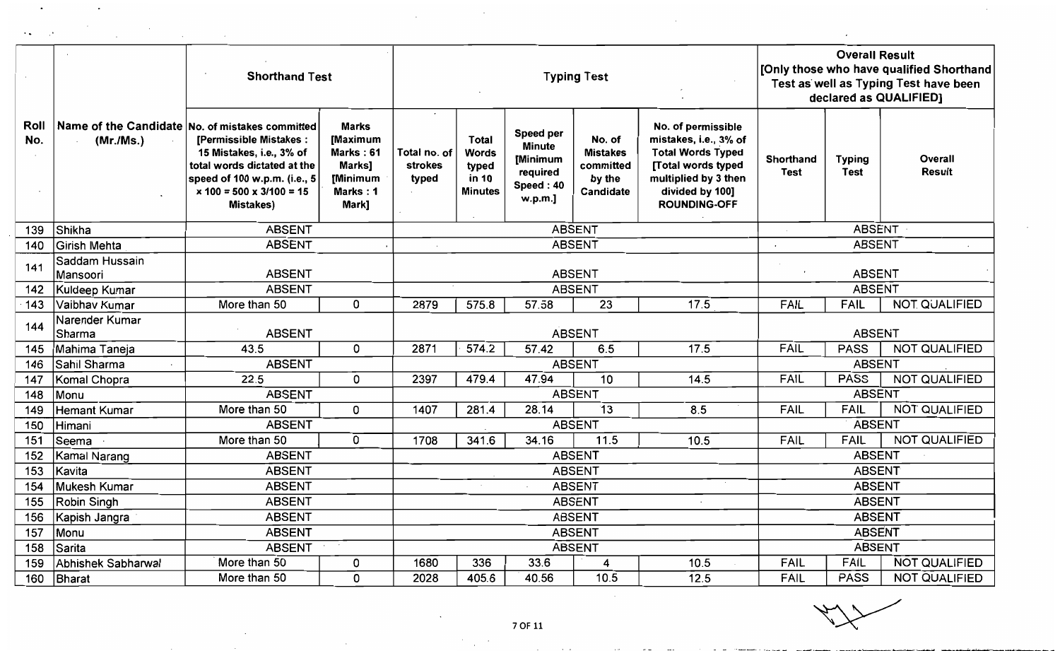|             |                            | <b>Shorthand Test</b>                                                                                                                                                                                                       |                                                                                 |                                         |                                                           | <b>Typing Test</b>                                                         |                                                               | <b>Overall Result</b><br>[Only those who have qualified Shorthand<br>Test as well as Typing Test have been<br>declared as QUALIFIED]                            |                                 |                              |                          |
|-------------|----------------------------|-----------------------------------------------------------------------------------------------------------------------------------------------------------------------------------------------------------------------------|---------------------------------------------------------------------------------|-----------------------------------------|-----------------------------------------------------------|----------------------------------------------------------------------------|---------------------------------------------------------------|-----------------------------------------------------------------------------------------------------------------------------------------------------------------|---------------------------------|------------------------------|--------------------------|
| Roll<br>No. | (Mr./Ms.)                  | Name of the Candidate No. of mistakes committed<br>[Permissible Mistakes:<br>15 Mistakes, i.e., 3% of<br>total words dictated at the<br>speed of 100 w.p.m. (i.e., 5<br>$x 100 = 500 \times 3/100 = 15$<br><b>Mistakes)</b> | <b>Marks</b><br>[Maximum<br>Marks: 61<br>Marks]<br>[Minimum<br>Marks:1<br>Mark] | Total no. of<br><b>strokes</b><br>typed | <b>Total</b><br>Words<br>typed<br>in 10<br><b>Minutes</b> | Speed per<br><b>Minute</b><br>[Minimum<br>required<br>Speed: 40<br>w.p.m.] | No. of<br><b>Mistakes</b><br>committed<br>by the<br>Candidate | No. of permissible<br>mistakes, i.e., 3% of<br><b>Total Words Typed</b><br>[Total words typed<br>multiplied by 3 then<br>divided by 100]<br><b>ROUNDING-OFF</b> | <b>Shorthand</b><br><b>Test</b> | <b>Typing</b><br><b>Test</b> | Overall<br><b>Result</b> |
| 139         | Shikha                     | <b>ABSENT</b>                                                                                                                                                                                                               |                                                                                 |                                         |                                                           |                                                                            | <b>ABSENT</b>                                                 |                                                                                                                                                                 |                                 | <b>ABSENT</b>                |                          |
| 140         | Girish Mehta               | <b>ABSENT</b>                                                                                                                                                                                                               |                                                                                 |                                         |                                                           |                                                                            | <b>ABSENT</b>                                                 |                                                                                                                                                                 |                                 | <b>ABSENT</b>                |                          |
| 141         | Saddam Hussain<br>Mansoori | <b>ABSENT</b>                                                                                                                                                                                                               |                                                                                 |                                         |                                                           |                                                                            | <b>ABSENT</b>                                                 |                                                                                                                                                                 |                                 | <b>ABSENT</b>                |                          |
| 142         | Kuldeep Kumar              | <b>ABSENT</b>                                                                                                                                                                                                               |                                                                                 |                                         |                                                           |                                                                            | <b>ABSENT</b>                                                 |                                                                                                                                                                 |                                 | <b>ABSENT</b>                |                          |
| 143         | Vaibhav Kumar              | More than 50                                                                                                                                                                                                                | $\mathbf 0$                                                                     | 2879                                    | 575.8                                                     | 57.58                                                                      | 23                                                            | 17.5                                                                                                                                                            | <b>FAIL</b>                     | <b>FAIL</b>                  | <b>NOT QUALIFIED</b>     |
| 144         | Narender Kumar<br> Sharma  | <b>ABSENT</b>                                                                                                                                                                                                               |                                                                                 |                                         |                                                           |                                                                            | <b>ABSENT</b>                                                 |                                                                                                                                                                 |                                 | <b>ABSENT</b>                |                          |
| 145         | Mahima Taneja              | 43.5                                                                                                                                                                                                                        | 0                                                                               | 2871                                    | 574.2                                                     | 57.42                                                                      | 6.5                                                           | 17.5                                                                                                                                                            | <b>FAIL</b>                     | <b>PASS</b>                  | <b>NOT QUALIFIED</b>     |
| 146         | Sahil Sharma               | <b>ABSENT</b>                                                                                                                                                                                                               |                                                                                 |                                         |                                                           |                                                                            | <b>ABSENT</b>                                                 |                                                                                                                                                                 |                                 | <b>ABSENT</b>                |                          |
| 147         | Komal Chopra               | 22.5                                                                                                                                                                                                                        | $\mathbf 0$                                                                     | 2397                                    | 479.4                                                     | 47.94                                                                      | 10                                                            | 14.5                                                                                                                                                            | <b>FAIL</b>                     | <b>PASS</b>                  | <b>NOT QUALIFIED</b>     |
| 148         | Monu                       | <b>ABSENT</b>                                                                                                                                                                                                               |                                                                                 |                                         |                                                           |                                                                            | <b>ABSENT</b>                                                 |                                                                                                                                                                 |                                 | <b>ABSENT</b>                |                          |
| 149         | Hemant Kumar               | More than 50                                                                                                                                                                                                                | 0                                                                               | 1407                                    | 281.4                                                     | 28.14                                                                      | 13                                                            | 8.5                                                                                                                                                             | <b>FAIL</b>                     | <b>FAIL</b>                  | <b>NOT QUALIFIED</b>     |
| 150         | Himani                     | <b>ABSENT</b>                                                                                                                                                                                                               |                                                                                 |                                         |                                                           |                                                                            | <b>ABSENT</b>                                                 |                                                                                                                                                                 |                                 | <b>ABSENT</b>                |                          |
| 151         | Seema                      | More than 50                                                                                                                                                                                                                | 0                                                                               | 1708                                    | 341.6                                                     | 34.16                                                                      | 11.5                                                          | 10.5                                                                                                                                                            | <b>FAIL</b>                     | <b>FAIL</b>                  | <b>NOT QUALIFIED</b>     |
| 152         | Kamal Narang               | <b>ABSENT</b>                                                                                                                                                                                                               |                                                                                 |                                         |                                                           |                                                                            | <b>ABSENT</b>                                                 |                                                                                                                                                                 |                                 | <b>ABSENT</b>                |                          |
| 153         | Kavita                     | <b>ABSENT</b>                                                                                                                                                                                                               |                                                                                 |                                         |                                                           |                                                                            | <b>ABSENT</b>                                                 |                                                                                                                                                                 |                                 | <b>ABSENT</b>                |                          |
| 154         | Mukesh Kumar               | <b>ABSENT</b>                                                                                                                                                                                                               |                                                                                 |                                         |                                                           |                                                                            | <b>ABSENT</b>                                                 |                                                                                                                                                                 |                                 | <b>ABSENT</b>                |                          |
| 155         | Robin Singh                | <b>ABSENT</b>                                                                                                                                                                                                               |                                                                                 |                                         |                                                           |                                                                            | <b>ABSENT</b>                                                 |                                                                                                                                                                 |                                 | <b>ABSENT</b>                |                          |
| 156         | Kapish Jangra              | <b>ABSENT</b>                                                                                                                                                                                                               |                                                                                 |                                         |                                                           |                                                                            | <b>ABSENT</b>                                                 |                                                                                                                                                                 |                                 | <b>ABSENT</b>                |                          |
| 157         | Monu                       | <b>ABSENT</b>                                                                                                                                                                                                               |                                                                                 |                                         |                                                           |                                                                            | <b>ABSENT</b>                                                 |                                                                                                                                                                 |                                 | <b>ABSENT</b>                |                          |
| 158         | Sarita                     | <b>ABSENT</b>                                                                                                                                                                                                               |                                                                                 |                                         |                                                           |                                                                            | <b>ABSENT</b>                                                 |                                                                                                                                                                 |                                 | <b>ABSENT</b>                |                          |
| 159         | Abhishek Sabharwal         | More than 50                                                                                                                                                                                                                | 0                                                                               | 1680                                    | 336                                                       | 33.6                                                                       | 4                                                             | 10.5                                                                                                                                                            | <b>FAIL</b>                     | <b>FAIL</b>                  | <b>NOT QUALIFIED</b>     |
| 160         | Bharat                     | More than 50                                                                                                                                                                                                                | 0                                                                               | 2028                                    | 405.6                                                     | 40.56                                                                      | 10.5                                                          | 12.5                                                                                                                                                            | FÁIL                            | <b>PASS</b>                  | <b>NOT QUALIFIED</b>     |

 $\label{eq:2.1} \frac{1}{\sqrt{2\pi}}\int_{\mathbb{R}^3}\left|\frac{d\mathbf{x}}{d\mathbf{x}}\right|^2\,d\mathbf{x}^2\,d\mathbf{x}^2\,d\mathbf{x}^2\,d\mathbf{x}^2\,d\mathbf{x}^2\,d\mathbf{x}^2\,d\mathbf{x}^2\,d\mathbf{x}^2\,d\mathbf{x}^2\,d\mathbf{x}^2\,d\mathbf{x}^2\,d\mathbf{x}^2\,d\mathbf{x}^2\,d\mathbf{x}^2\,d\mathbf{x}^2\,d\mathbf{x}^2\,d\mathbf$ 

 $\sim$ 

 $\sim$ 

 $\lambda\in\mathbb{R}^n$ 

**Contract Contract** 

 $\mathbb{R}^2$ 

 $\overline{\phantom{a}}$ 

 $\sim 10^7$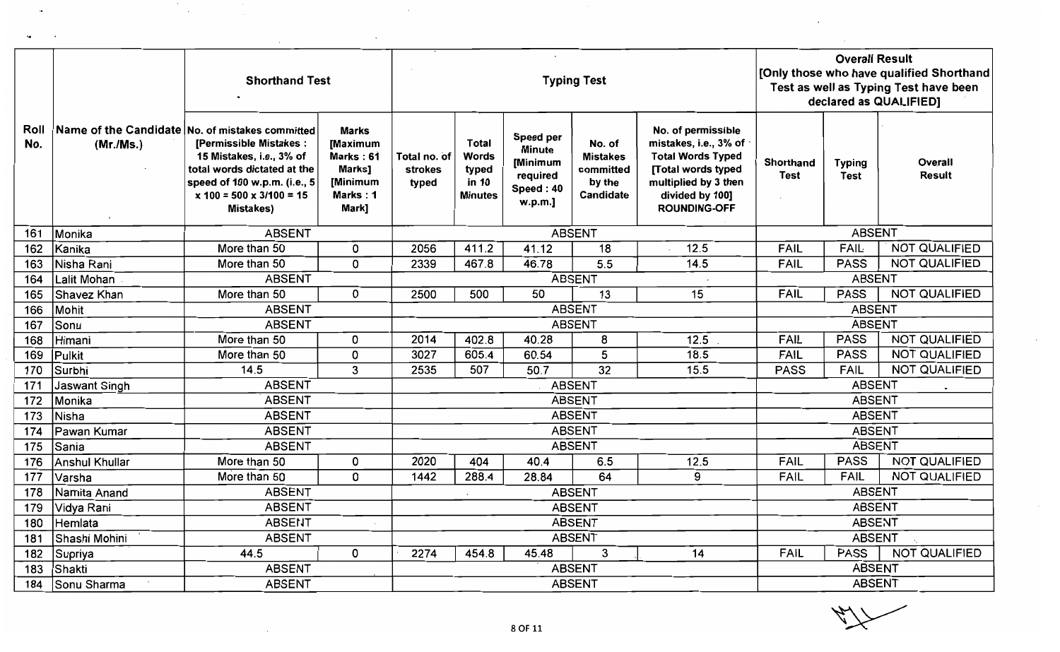|             |                      | <b>Shorthand Test</b>                                                                                                                                                                                                         |                                                                                        |                                         |                                                                  |                                                                            | <b>Typing Test</b>                                            |                                                                                                                                                                 | <b>Overall Result</b><br>[Only those who have qualified Shorthand<br>Test as well as Typing Test have been<br>declared as QUALIFIED] |                              |                          |  |
|-------------|----------------------|-------------------------------------------------------------------------------------------------------------------------------------------------------------------------------------------------------------------------------|----------------------------------------------------------------------------------------|-----------------------------------------|------------------------------------------------------------------|----------------------------------------------------------------------------|---------------------------------------------------------------|-----------------------------------------------------------------------------------------------------------------------------------------------------------------|--------------------------------------------------------------------------------------------------------------------------------------|------------------------------|--------------------------|--|
| Roll<br>No. | (Mr./Ms.)            | Name of the Candidate No. of mistakes committed<br><b>[Permissible Mistakes:</b><br>15 Mistakes, i.e., 3% of<br>total words dictated at the<br>speed of 100 w.p.m. (i.e., 5<br>$x 100 = 500 x 3/100 = 15$<br><b>Mistakes)</b> | <b>Marks</b><br><b>Maximum</b><br>Marks: 61<br>Marks]<br>[Minimum<br>Marks: 1<br>Mark] | Total no. of<br><b>strokes</b><br>typed | <b>Total</b><br><b>Words</b><br>typed<br>in 10<br><b>Minutes</b> | Speed per<br><b>Minute</b><br>[Minimum<br>required<br>Speed: 40<br>w.p.m.] | No. of<br><b>Mistakes</b><br>committed<br>by the<br>Candidate | No. of permissible<br>mistakes, i.e., 3% of<br><b>Total Words Typed</b><br>[Total words typed<br>multiplied by 3 then<br>divided by 100]<br><b>ROUNDING-OFF</b> | Shorthand<br>Test                                                                                                                    | <b>Typing</b><br><b>Test</b> | Overall<br><b>Result</b> |  |
| 161         | Monika               | <b>ABSENT</b>                                                                                                                                                                                                                 |                                                                                        |                                         |                                                                  |                                                                            | <b>ABSENT</b>                                                 |                                                                                                                                                                 |                                                                                                                                      | <b>ABSENT</b>                |                          |  |
| 162         | Kanika               | More than 50                                                                                                                                                                                                                  | 0                                                                                      | 2056                                    | 411.2                                                            | 41.12                                                                      | 18                                                            | 12.5                                                                                                                                                            | <b>FAIL</b>                                                                                                                          | <b>FAIL</b>                  | NOT QUALIFIED            |  |
| 163         | Nisha Rani           | More than 50                                                                                                                                                                                                                  | 0                                                                                      | 2339                                    | 467.8                                                            | 46.78                                                                      | 5.5                                                           | 14.5                                                                                                                                                            | <b>FAIL</b>                                                                                                                          | <b>PASS</b>                  | <b>NOT QUALIFIED</b>     |  |
| 164         | Lalit Mohan          | <b>ABSENT</b>                                                                                                                                                                                                                 |                                                                                        |                                         |                                                                  |                                                                            | <b>ABSENT</b>                                                 |                                                                                                                                                                 |                                                                                                                                      | <b>ABSENT</b>                |                          |  |
| 165         | Shavez Khan          | More than 50                                                                                                                                                                                                                  | 0                                                                                      | 2500                                    | 500                                                              | 50                                                                         | $\overline{13}$                                               | 15                                                                                                                                                              | FAIL                                                                                                                                 | <b>PASS</b>                  | <b>NOT QUALIFIED</b>     |  |
| 166         | Mohit                | <b>ABSENT</b>                                                                                                                                                                                                                 |                                                                                        |                                         |                                                                  |                                                                            | <b>ABSENT</b>                                                 |                                                                                                                                                                 |                                                                                                                                      | <b>ABSENT</b>                |                          |  |
| 167         | Sonu                 | <b>ABSENT</b>                                                                                                                                                                                                                 |                                                                                        |                                         |                                                                  |                                                                            | <b>ABSENT</b>                                                 |                                                                                                                                                                 |                                                                                                                                      | <b>ABSENT</b>                |                          |  |
| 168         | Himani               | More than 50                                                                                                                                                                                                                  | 0                                                                                      | 2014                                    | 402.8                                                            | 40.28                                                                      | 8                                                             | 12.5                                                                                                                                                            | FAIL                                                                                                                                 | <b>PASS</b>                  | <b>NOT QUALIFIED</b>     |  |
| 169         | <b>Pulkit</b>        | More than 50                                                                                                                                                                                                                  | 0                                                                                      | 3027                                    | 605.4                                                            | 60.54                                                                      | 5                                                             | 18.5                                                                                                                                                            | <b>FAIL</b>                                                                                                                          | <b>PASS</b>                  | <b>NOT QUALIFIED</b>     |  |
| 170         | Surbhi               | 14.5                                                                                                                                                                                                                          | 3                                                                                      | 2535                                    | 507                                                              | 50.7                                                                       | 32                                                            | 15.5                                                                                                                                                            | <b>PASS</b>                                                                                                                          | <b>FAIL</b>                  | <b>NOT QUALIFIED</b>     |  |
| 171         | <b>Jaswant Singh</b> | <b>ABSENT</b>                                                                                                                                                                                                                 |                                                                                        |                                         |                                                                  |                                                                            | <b>ABSENT</b>                                                 |                                                                                                                                                                 |                                                                                                                                      | <b>ABSENT</b>                |                          |  |
| 172         | Monika               | <b>ABSENT</b>                                                                                                                                                                                                                 |                                                                                        |                                         |                                                                  |                                                                            | <b>ABSENT</b>                                                 |                                                                                                                                                                 |                                                                                                                                      | <b>ABSENT</b>                |                          |  |
| 173         | Nisha                | <b>ABSENT</b>                                                                                                                                                                                                                 |                                                                                        |                                         |                                                                  |                                                                            | <b>ABSENT</b>                                                 |                                                                                                                                                                 |                                                                                                                                      | <b>ABSENT</b>                |                          |  |
| 174         | Pawan Kumar          | <b>ABSENT</b>                                                                                                                                                                                                                 |                                                                                        |                                         |                                                                  |                                                                            | <b>ABSENT</b>                                                 |                                                                                                                                                                 |                                                                                                                                      | <b>ABSENT</b>                |                          |  |
| 175         | Sania                | <b>ABSENT</b>                                                                                                                                                                                                                 |                                                                                        |                                         |                                                                  |                                                                            | <b>ABSENT</b>                                                 |                                                                                                                                                                 |                                                                                                                                      | <b>ABSENT</b>                |                          |  |
| 176         | Anshul Khullar       | More than 50                                                                                                                                                                                                                  | 0                                                                                      | 2020                                    | 404                                                              | 40.4                                                                       | 6.5                                                           | 12.5                                                                                                                                                            | <b>FAIL</b>                                                                                                                          | <b>PASS</b>                  | <b>NOT QUALIFIED</b>     |  |
| 177         | Varsha               | More than 50                                                                                                                                                                                                                  | 0                                                                                      | 1442                                    | 288.4                                                            | 28.84                                                                      | 64                                                            | 9                                                                                                                                                               | <b>FAIL</b>                                                                                                                          | <b>FAIL</b>                  | <b>NOT QUALIFIED</b>     |  |
| 178         | Namita Anand         | <b>ABSENT</b>                                                                                                                                                                                                                 |                                                                                        |                                         |                                                                  |                                                                            | <b>ABSENT</b>                                                 |                                                                                                                                                                 |                                                                                                                                      | <b>ABSENT</b>                |                          |  |
| 179         | Vidya Rani           | <b>ABSENT</b>                                                                                                                                                                                                                 |                                                                                        |                                         |                                                                  |                                                                            | <b>ABSENT</b>                                                 |                                                                                                                                                                 |                                                                                                                                      | <b>ABSENT</b>                |                          |  |
| 180         | Hemlata              | <b>ABSENT</b>                                                                                                                                                                                                                 |                                                                                        |                                         |                                                                  |                                                                            | <b>ABSENT</b>                                                 |                                                                                                                                                                 |                                                                                                                                      | <b>ABSENT</b>                |                          |  |
| 181         | Shashi Mohini        | <b>ABSENT</b>                                                                                                                                                                                                                 |                                                                                        |                                         |                                                                  |                                                                            | <b>ABSENT</b>                                                 |                                                                                                                                                                 |                                                                                                                                      | <b>ABSENT</b>                |                          |  |
| 182         | Supriya              | 44.5                                                                                                                                                                                                                          | 0                                                                                      | 2274                                    | 454.8                                                            | 45.48                                                                      | 3                                                             | 14                                                                                                                                                              | <b>FAIL</b>                                                                                                                          | <b>PASS</b>                  | <b>NOT QUALIFIED</b>     |  |
| 183         | Shakti               | <b>ABSENT</b>                                                                                                                                                                                                                 |                                                                                        |                                         |                                                                  |                                                                            | <b>ABSENT</b>                                                 |                                                                                                                                                                 |                                                                                                                                      | <b>ABSENT</b>                |                          |  |
| 184         | Sonu Sharma          | <b>ABSENT</b>                                                                                                                                                                                                                 |                                                                                        |                                         |                                                                  |                                                                            | <b>ABSENT</b>                                                 |                                                                                                                                                                 |                                                                                                                                      | <b>ABSENT</b>                |                          |  |

 $\sim$ 

 $\ddot{\phantom{a}}$ 

L.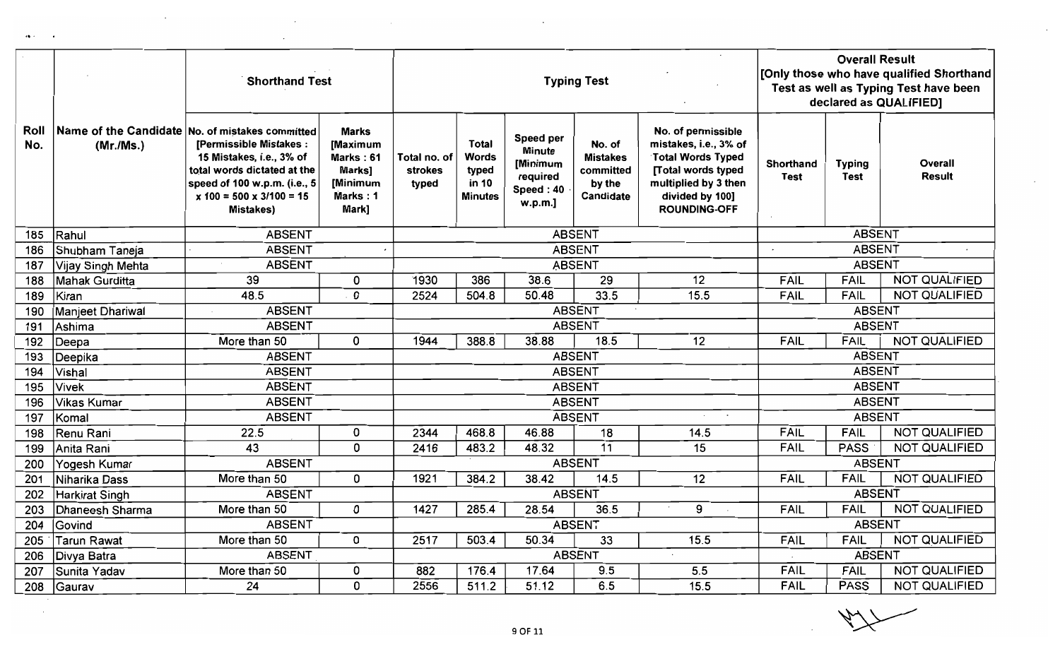|             |                       | <b>Shorthand Test</b>                                                                                                                                                                                           | <b>Typing Test</b>                                                               |                                         |                                                                  |                                                                            |                                                               | <b>Overall Result</b><br>[Only those who have qualified Shorthand<br>Test as well as Typing Test have been<br>declared as QUALIFIED]                            |                          |                              |                          |
|-------------|-----------------------|-----------------------------------------------------------------------------------------------------------------------------------------------------------------------------------------------------------------|----------------------------------------------------------------------------------|-----------------------------------------|------------------------------------------------------------------|----------------------------------------------------------------------------|---------------------------------------------------------------|-----------------------------------------------------------------------------------------------------------------------------------------------------------------|--------------------------|------------------------------|--------------------------|
| Roll<br>No. | (Mr./Ms.)             | Name of the Candidate No. of mistakes committed<br>[Permissible Mistakes:<br>15 Mistakes, i.e., 3% of<br>total words dictated at the<br>speed of 100 w.p.m. (i.e., 5<br>$x 100 = 500 x 3/100 = 15$<br>Mistakes) | <b>Marks</b><br>[Maximum<br>Marks: 61<br>Marks]<br>[Minimum<br>Marks: 1<br>Mark] | Total no, of<br><b>strokes</b><br>typed | <b>Total</b><br><b>Words</b><br>typed<br>in 10<br><b>Minutes</b> | Speed per<br><b>Minute</b><br>[Minimum<br>required<br>Speed: 40<br>w.p.m.] | No. of<br><b>Mistakes</b><br>committed<br>by the<br>Candidate | No. of permissible<br>mistakes, i.e., 3% of<br><b>Total Words Typed</b><br>[Total words typed<br>multiplied by 3 then<br>divided by 100]<br><b>ROUNDING-OFF</b> | Shorthand<br><b>Test</b> | <b>Typing</b><br><b>Test</b> | Overall<br><b>Result</b> |
| 185         | Rahul                 | <b>ABSENT</b>                                                                                                                                                                                                   |                                                                                  |                                         |                                                                  |                                                                            | <b>ABSENT</b>                                                 |                                                                                                                                                                 |                          | <b>ABSENT</b>                |                          |
| 186         | Shubham Taneja        | <b>ABSENT</b>                                                                                                                                                                                                   |                                                                                  |                                         |                                                                  |                                                                            | <b>ABSENT</b>                                                 |                                                                                                                                                                 |                          | <b>ABSENT</b>                |                          |
| 187         | Vijay Singh Mehta     | <b>ABSENT</b>                                                                                                                                                                                                   |                                                                                  |                                         |                                                                  |                                                                            | <b>ABSENT</b>                                                 |                                                                                                                                                                 |                          | <b>ABSENT</b>                |                          |
| 188         | Mahak Gurditta        | 39                                                                                                                                                                                                              | 0                                                                                | 1930                                    | 386                                                              | 38.6                                                                       | 29                                                            | 12                                                                                                                                                              | <b>FAIL</b>              | FAIL                         | <b>NOT QUALIFIED</b>     |
| 189         | Kiran                 | 48.5                                                                                                                                                                                                            | 0                                                                                | 2524                                    | 504.8                                                            | 50.48                                                                      | 33.5                                                          | 15.5                                                                                                                                                            | <b>FAIL</b>              | <b>FAIL</b>                  | <b>NOT QUALIFIED</b>     |
| 190         | Manjeet Dhariwal      | <b>ABSENT</b>                                                                                                                                                                                                   |                                                                                  |                                         |                                                                  |                                                                            | <b>ABSENT</b>                                                 |                                                                                                                                                                 |                          | <b>ABSENT</b>                |                          |
| 191         | Ashima                | <b>ABSENT</b>                                                                                                                                                                                                   |                                                                                  |                                         |                                                                  |                                                                            | <b>ABSENT</b>                                                 |                                                                                                                                                                 |                          | <b>ABSENT</b>                |                          |
| 192         | Deepa                 | More than 50                                                                                                                                                                                                    | 0                                                                                | 1944                                    | 388.8                                                            | 38.88                                                                      | 18.5                                                          | 12                                                                                                                                                              | <b>FAIL</b>              | <b>FAIL</b>                  | <b>NOT QUALIFIED</b>     |
| 193         | Deepika               | <b>ABSENT</b>                                                                                                                                                                                                   |                                                                                  |                                         |                                                                  |                                                                            | <b>ABSENT</b>                                                 |                                                                                                                                                                 |                          | <b>ABSENT</b>                |                          |
| 194         | Vishal                | <b>ABSENT</b>                                                                                                                                                                                                   |                                                                                  |                                         |                                                                  |                                                                            | <b>ABSENT</b>                                                 |                                                                                                                                                                 |                          | <b>ABSENT</b>                |                          |
| 195         | Vivek                 | <b>ABSENT</b>                                                                                                                                                                                                   |                                                                                  |                                         |                                                                  |                                                                            | <b>ABSENT</b>                                                 |                                                                                                                                                                 |                          | <b>ABSENT</b>                |                          |
| 196         | <b>Vikas Kumar</b>    | <b>ABSENT</b>                                                                                                                                                                                                   |                                                                                  |                                         |                                                                  |                                                                            | <b>ABSENT</b>                                                 |                                                                                                                                                                 |                          | <b>ABSENT</b>                |                          |
| 197         | Komal                 | <b>ABSENT</b>                                                                                                                                                                                                   |                                                                                  |                                         |                                                                  |                                                                            | <b>ABSENT</b>                                                 | $\sim$<br>$\cdot$                                                                                                                                               |                          | <b>ABSENT</b>                |                          |
| 198         | Renu Rani             | 22.5                                                                                                                                                                                                            | 0                                                                                | 2344                                    | 468.8                                                            | 46.88                                                                      | 18                                                            | 14.5                                                                                                                                                            | <b>FAIL</b>              | <b>FAIL</b>                  | <b>NOT QUALIFIED</b>     |
| 199         | Anita Rani            | 43                                                                                                                                                                                                              | 0                                                                                | 2416                                    | 483.2                                                            | 48.32                                                                      | $\overline{11}$                                               | 15                                                                                                                                                              | <b>FAIL</b>              | <b>PASS</b>                  | <b>NOT QUALIFIED</b>     |
| 200         | Yogesh Kumar          | <b>ABSENT</b>                                                                                                                                                                                                   |                                                                                  |                                         |                                                                  |                                                                            | <b>ABSENT</b>                                                 |                                                                                                                                                                 |                          | <b>ABSENT</b>                |                          |
| 201         | Niharika Dass         | More than 50                                                                                                                                                                                                    | 0                                                                                | 1921                                    | 384.2                                                            | 38.42                                                                      | 14.5                                                          | 12                                                                                                                                                              | <b>FAIL</b>              | <b>FAIL</b>                  | <b>NOT QUALIFIED</b>     |
| 202         | <b>Harkirat Singh</b> | <b>ABSENT</b>                                                                                                                                                                                                   |                                                                                  |                                         |                                                                  |                                                                            | <b>ABSENT</b>                                                 |                                                                                                                                                                 |                          | <b>ABSENT</b>                |                          |
| 203         | Dhaneesh Sharma       | More than 50                                                                                                                                                                                                    | 0                                                                                | 1427                                    | 285.4                                                            | 28.54                                                                      | 36.5                                                          | 9                                                                                                                                                               | <b>FAIL</b>              | <b>FAIL</b>                  | <b>NOT QUALIFIED</b>     |
| 204         | <b>Sovind</b>         | <b>ABSENT</b>                                                                                                                                                                                                   |                                                                                  |                                         |                                                                  |                                                                            | <b>ABSENT</b>                                                 |                                                                                                                                                                 |                          | <b>ABSENT</b>                |                          |
| 205         | <b>Tarun Rawat</b>    | More than 50                                                                                                                                                                                                    | 0                                                                                | 2517                                    | 503.4                                                            | 50.34                                                                      | 33                                                            | 15.5                                                                                                                                                            | <b>FAIL</b>              | <b>FAIL</b>                  | <b>NOT QUALIFIED</b>     |
| 206         | Divya Batra           | <b>ABSENT</b>                                                                                                                                                                                                   |                                                                                  |                                         |                                                                  |                                                                            | <b>ABSENT</b>                                                 |                                                                                                                                                                 |                          | <b>ABSENT</b>                |                          |
| 207         | Sunita Yadav          | More than 50                                                                                                                                                                                                    | 0                                                                                | 882                                     | 176.4                                                            | 17.64                                                                      | 9.5                                                           | 5.5                                                                                                                                                             | <b>FAIL</b>              | <b>FAIL</b>                  | <b>NOT QUALIFIED</b>     |
| 208         | Gaurav                | 24                                                                                                                                                                                                              | 0                                                                                | 2556                                    | 511.2                                                            | 51.12                                                                      | 6.5                                                           | 15.5                                                                                                                                                            | <b>FAIL</b>              | <b>PASS</b>                  | <b>NOT QUALIFIED</b>     |

 $\leftrightarrow$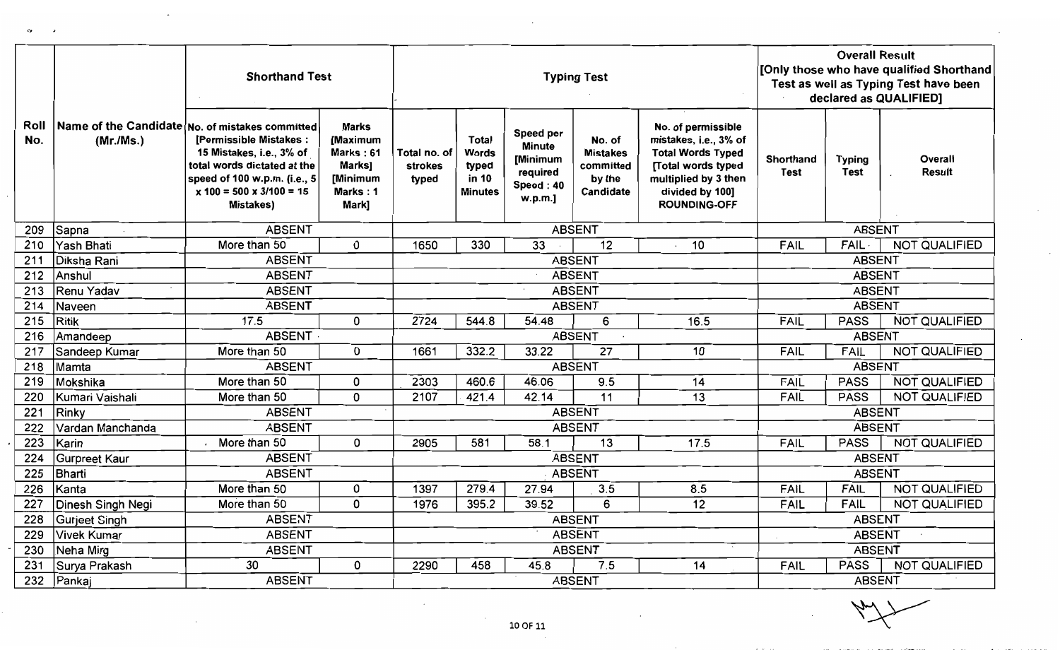|             |                      | <b>Shorthand Test</b>                                                                                                                                                                                                              |                                                                                  |                                         |                                                                  |                                                                            | <b>Typing Test</b>                                            |                                                                                                                                                                 | <b>Overall Result</b><br>[Only those who have qualified Shorthand<br>Test as well as Typing Test have been<br>declared as QUALIFIED] |                              |                      |  |
|-------------|----------------------|------------------------------------------------------------------------------------------------------------------------------------------------------------------------------------------------------------------------------------|----------------------------------------------------------------------------------|-----------------------------------------|------------------------------------------------------------------|----------------------------------------------------------------------------|---------------------------------------------------------------|-----------------------------------------------------------------------------------------------------------------------------------------------------------------|--------------------------------------------------------------------------------------------------------------------------------------|------------------------------|----------------------|--|
| Roll<br>No. | (Mr/Ms.)             | Name of the Candidate No. of mistakes committed<br><b>[Permissible Mistakes:</b><br>15 Mistakes, i.e., 3% of<br>total words dictated at the<br>speed of 100 w.p.m. (i.e., 5<br>$x 100 = 500 \times 3/100 = 15$<br><b>Mistakes)</b> | <b>Marks</b><br>[Maximum<br>Marks: 61<br>Marks]<br>[Minimum<br>Marks: 1<br>Mark] | Total no. of<br><b>strokes</b><br>typed | <b>Total</b><br><b>Words</b><br>typed<br>in 10<br><b>Minutes</b> | Speed per<br><b>Minute</b><br>[Minimum<br>required<br>Speed: 40<br>w.p.m.] | No. of<br><b>Mistakes</b><br>committed<br>by the<br>Candidate | No. of permissible<br>mistakes, i.e., 3% of<br><b>Total Words Typed</b><br>[Total words typed<br>multiplied by 3 then<br>divided by 100]<br><b>ROUNDING-OFF</b> | <b>Shorthand</b><br><b>Test</b>                                                                                                      | <b>Typing</b><br><b>Test</b> | Overall<br>Result    |  |
| 209         | Sapna                | <b>ABSENT</b>                                                                                                                                                                                                                      |                                                                                  |                                         |                                                                  |                                                                            | <b>ABSENT</b>                                                 |                                                                                                                                                                 |                                                                                                                                      | <b>ABSENT</b>                |                      |  |
| 210         | Yash Bhati           | More than 50                                                                                                                                                                                                                       | 0                                                                                | 1650                                    | 330                                                              | 33                                                                         | $\overline{12}$                                               | 10                                                                                                                                                              | FAIL                                                                                                                                 | FAIL -                       | <b>NOT QUALIFIED</b> |  |
| 211         | Diksha Rani          | <b>ABSENT</b>                                                                                                                                                                                                                      |                                                                                  |                                         |                                                                  |                                                                            | <b>ABSENT</b>                                                 |                                                                                                                                                                 |                                                                                                                                      | <b>ABSENT</b>                |                      |  |
| 212         | Anshul               | <b>ABSENT</b>                                                                                                                                                                                                                      |                                                                                  |                                         |                                                                  |                                                                            | <b>ABSENT</b>                                                 |                                                                                                                                                                 |                                                                                                                                      | <b>ABSENT</b>                |                      |  |
| 213         | Renu Yadav           | <b>ABSENT</b>                                                                                                                                                                                                                      |                                                                                  |                                         |                                                                  |                                                                            | <b>ABSENT</b>                                                 |                                                                                                                                                                 |                                                                                                                                      | <b>ABSENT</b>                |                      |  |
| 214         | Naveen               | <b>ABSENT</b>                                                                                                                                                                                                                      |                                                                                  |                                         |                                                                  |                                                                            | <b>ABSENT</b>                                                 |                                                                                                                                                                 |                                                                                                                                      | <b>ABSENT</b>                |                      |  |
| 215         | Ritik                | 17.5                                                                                                                                                                                                                               | 0                                                                                | 2724                                    | 544.8                                                            | 54.48                                                                      | 6                                                             | 16.5                                                                                                                                                            | FAIL                                                                                                                                 | <b>PASS</b>                  | <b>NOT QUALIFIED</b> |  |
| 216         | Amandeep             | <b>ABSENT</b>                                                                                                                                                                                                                      |                                                                                  |                                         |                                                                  |                                                                            | <b>ABSENT</b>                                                 |                                                                                                                                                                 |                                                                                                                                      | <b>ABSENT</b>                |                      |  |
| 217         | Sandeep Kumar        | More than 50                                                                                                                                                                                                                       | 0                                                                                | 1661                                    | 332.2                                                            | 33.22                                                                      | 27                                                            | 10                                                                                                                                                              | <b>FAIL</b>                                                                                                                          | <b>FAIL</b>                  | <b>NOT QUALIFIED</b> |  |
| 218         | Mamta                | <b>ABSENT</b>                                                                                                                                                                                                                      |                                                                                  |                                         |                                                                  |                                                                            | <b>ABSENT</b>                                                 |                                                                                                                                                                 |                                                                                                                                      | <b>ABSENT</b>                |                      |  |
| 219         | Mokshika             | More than 50                                                                                                                                                                                                                       | 0                                                                                | 2303                                    | 460.6                                                            | 46.06                                                                      | 9.5                                                           | 14                                                                                                                                                              | <b>FAIL</b>                                                                                                                          | <b>PASS</b>                  | NOT QUALIFIED        |  |
| 220         | Kumari Vaishali      | More than 50                                                                                                                                                                                                                       | 0                                                                                | 2107                                    | 421.4                                                            | 42.14                                                                      | 11                                                            | 13                                                                                                                                                              | <b>FAIL</b>                                                                                                                          | <b>PASS</b>                  | NOT QUALIFIED        |  |
| 221         | Rinky                | <b>ABSENT</b>                                                                                                                                                                                                                      |                                                                                  |                                         |                                                                  |                                                                            | <b>ABSENT</b>                                                 |                                                                                                                                                                 |                                                                                                                                      | <b>ABSENT</b>                |                      |  |
| 222         | Vardan Manchanda     | <b>ABSENT</b>                                                                                                                                                                                                                      |                                                                                  |                                         |                                                                  |                                                                            | <b>ABSENT</b>                                                 |                                                                                                                                                                 |                                                                                                                                      | <b>ABSENT</b>                |                      |  |
| 223         | Karin                | More than 50                                                                                                                                                                                                                       | 0                                                                                | 2905                                    | 581                                                              | 58.1                                                                       | $\overline{13}$                                               | 17.5                                                                                                                                                            | <b>FAIL</b>                                                                                                                          | <b>PASS</b>                  | NOT QUALIFIED        |  |
| 224         | <b>Gurpreet Kaur</b> | <b>ABSENT</b>                                                                                                                                                                                                                      |                                                                                  |                                         |                                                                  |                                                                            | <b>ABSENT</b>                                                 |                                                                                                                                                                 |                                                                                                                                      | <b>ABSENT</b>                |                      |  |
| 225         | Bharti               | <b>ABSENT</b>                                                                                                                                                                                                                      |                                                                                  |                                         |                                                                  |                                                                            | <b>ABSENT</b>                                                 |                                                                                                                                                                 |                                                                                                                                      | <b>ABSENT</b>                |                      |  |
| 226         | Kanta                | More than 50                                                                                                                                                                                                                       | 0                                                                                | 1397                                    | 279.4                                                            | 27.94                                                                      | 3.5                                                           | 8.5                                                                                                                                                             | FAIL                                                                                                                                 | <b>FAIL</b>                  | NOT QUALIFIED        |  |
| 227         | Dinesh Singh Negi    | More than 50                                                                                                                                                                                                                       | 0                                                                                | 1976                                    | 395.2                                                            | 39.52                                                                      | 6                                                             | 12                                                                                                                                                              | FAIL                                                                                                                                 | <b>FAIL</b>                  | <b>NOT QUALIFIED</b> |  |
| 228         | Gurjeet Singh        | <b>ABSENT</b>                                                                                                                                                                                                                      |                                                                                  |                                         |                                                                  |                                                                            | <b>ABSENT</b>                                                 |                                                                                                                                                                 |                                                                                                                                      | <b>ABSENT</b>                |                      |  |
| 229         | <b>Vivek Kumar</b>   | <b>ABSENT</b>                                                                                                                                                                                                                      |                                                                                  |                                         |                                                                  |                                                                            | <b>ABSENT</b>                                                 |                                                                                                                                                                 |                                                                                                                                      | <b>ABSENT</b>                |                      |  |
| 230         | Neha Mirg            | <b>ABSENT</b>                                                                                                                                                                                                                      |                                                                                  |                                         |                                                                  |                                                                            | <b>ABSENT</b>                                                 |                                                                                                                                                                 |                                                                                                                                      | <b>ABSENT</b>                |                      |  |
| 231         | Surya Prakash        | 30                                                                                                                                                                                                                                 | 0                                                                                | 2290                                    | 458                                                              | 45.8                                                                       | 7.5                                                           | 14                                                                                                                                                              | <b>FAIL</b>                                                                                                                          | <b>PASS</b>                  | NOT QUALIFIED        |  |
| 232         | Pankaj               | <b>ABSENT</b>                                                                                                                                                                                                                      |                                                                                  |                                         |                                                                  |                                                                            | <b>ABSENT</b>                                                 |                                                                                                                                                                 |                                                                                                                                      | <b>ABSENT</b>                |                      |  |

 $c_{\pmb{\cdot}}$ 

 $\sim$